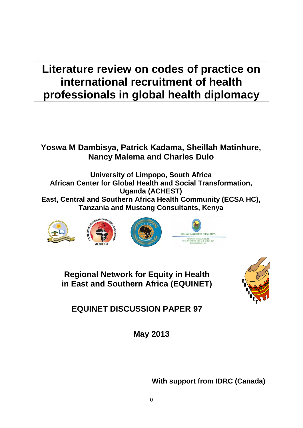# **Literature review on codes of practice on international recruitment of health professionals in global health diplomacy**

## **Yoswa M Dambisya, Patrick Kadama, Sheillah Matinhure, Nancy Malema and Charles Dulo**

**University of Limpopo, South Africa African Center for Global Health and Social Transformation, Uganda (ACHEST) East, Central and Southern Africa Health Community (ECSA HC), Tanzania and Mustang Consultants, Kenya**









**Regional Network for Equity in Health in East and Southern Africa (EQUINET)**



**EQUINET DISCUSSION PAPER 97**

**May 2013**

**With support from IDRC (Canada)**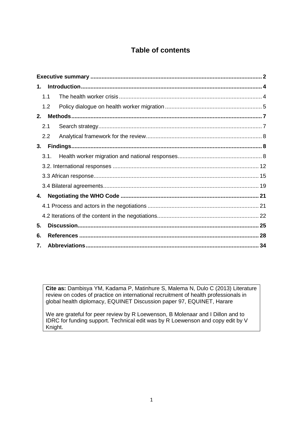## **Table of contents**

| 1.  |      |  |
|-----|------|--|
| 1.1 |      |  |
|     | 1.2  |  |
| 2.  |      |  |
| 2.1 |      |  |
|     | 2.2  |  |
| 3.  |      |  |
|     | 3.1. |  |
|     |      |  |
|     |      |  |
|     |      |  |
| 4.  |      |  |
|     |      |  |
|     |      |  |
| 5.  |      |  |
| 6.  |      |  |
| 7.  |      |  |

**Cite as:** Dambisya YM, Kadama P, Matinhure S, Malema N, Dulo C (2013) Literature review on codes of practice on international recruitment of health professionals in global health diplomacy, EQUINET Discussion paper 97, EQUINET, Harare

We are grateful for peer review by R Loewenson, B Molenaar and I Dillon and to IDRC for funding support. Technical edit was by R Loewenson and copy edit by V Knight.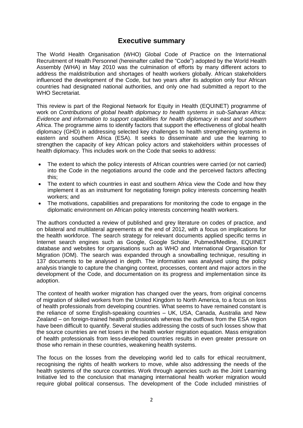### **Executive summary**

<span id="page-2-0"></span>The World Health Organisation (WHO) Global Code of Practice on the International Recruitment of Health Personnel (hereinafter called the "Code") adopted by the World Health Assembly (WHA) in May 2010 was the culmination of efforts by many different actors to address the maldistribution and shortages of health workers globally. African stakeholders influenced the development of the Code, but two years after its adoption only four African countries had designated national authorities, and only one had submitted a report to the WHO Secretariat.

This review is part of the Regional Network for Equity in Health (EQUINET) programme of work on *Contributions of global health diplomacy to health systems in sub-Saharan Africa: Evidence and information to support capabilities for health diplomacy in east and southern Africa*. The programme aims to identify factors that support the effectiveness of global health diplomacy (GHD) in addressing selected key challenges to health strengthening systems in eastern and southern Africa (ESA). It seeks to disseminate and use the learning to strengthen the capacity of key African policy actors and stakeholders within processes of health diplomacy. This includes work on the Code that seeks to address:

- The extent to which the policy interests of African countries were carried (or not carried) into the Code in the negotiations around the code and the perceived factors affecting this;
- The extent to which countries in east and southern Africa view the Code and how they implement it as an instrument for negotiating foreign policy interests concerning health workers; and
- The motivations, capabilities and preparations for monitoring the code to engage in the diplomatic environment on African policy interests concerning health workers.

The authors conducted a review of published and grey literature on codes of practice, and on bilateral and multilateral agreements at the end of 2012, with a focus on implications for the health workforce. The search strategy for relevant documents applied specific terms in Internet search engines such as Google, Google Scholar, Pubmed/Medline, EQUINET database and websites for organisations such as WHO and International Organisation for Migration (IOM). The search was expanded through a snowballing technique, resulting in 137 documents to be analysed in depth. The information was analysed using the policy analysis triangle to capture the changing context, processes, content and major actors in the development of the Code, and documentation on its progress and implementation since its adoption.

The context of health worker migration has changed over the years, from original concerns of migration of skilled workers from the United Kingdom to North America, to a focus on loss of health professionals from developing countries. What seems to have remained constant is the reliance of some English-speaking countries – UK, USA, Canada, Australia and New Zealand – on foreign-trained health professionals whereas the outflows from the ESA region have been difficult to quantify. Several studies addressing the costs of such losses show that the source countries are net losers in the health worker migration equation. Mass emigration of health professionals from less-developed countries results in even greater pressure on those who remain in these countries, weakening health systems.

The focus on the losses from the developing world led to calls for ethical recruitment, recognising the rights of health workers to move, while also addressing the needs of the health systems of the source countries. Work through agencies such as the Joint Learning Initiative led to the conclusion that managing international health worker migration would require global political consensus. The development of the Code included ministries of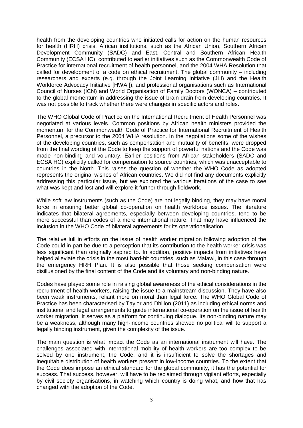health from the developing countries who initiated calls for action on the human resources for health (HRH) crisis. African institutions, such as the African Union, Southern African Development Community (SADC) and East, Central and Southern African Health Community (ECSA HC), contributed to earlier initiatives such as the Commonwealth Code of Practice for international recruitment of health personnel, and the 2004 WHA Resolution that called for development of a code on ethical recruitment. The global community – including researchers and experts (e.g. through the Joint Learning Initiative (JLI) and the Health Workforce Advocacy Initiative [HWAI]), and professional organisations such as International Council of Nurses (ICN) and World Organisation of Family Doctors (WONCA) – contributed to the global momentum in addressing the issue of brain drain from developing countries. It was not possible to track whether there were changes in specific actors and roles.

The WHO Global Code of Practice on the International Recruitment of Health Personnel was negotiated at various levels. Common positions by African health ministers provided the momentum for the Commonwealth Code of Practice for International Recruitment of Health Personnel, a precursor to the 2004 WHA resolution. In the negotiations some of the wishes of the developing countries, such as compensation and mutuality of benefits, were dropped from the final wording of the Code to keep the support of powerful nations and the Code was made non-binding and voluntary. Earlier positions from African stakeholders (SADC and ECSA HC) explicitly called for compensation to source countries, which was unacceptable to countries in the North. This raises the question of whether the WHO Code as adopted represents the original wishes of African countries. We did not find any documents explicitly addressing this particular issue, but we explored the various iterations of the case to see what was kept and lost and will explore it further through fieldwork.

While soft law instruments (such as the Code) are not legally binding, they may have moral force in ensuring better global co-operation on health workforce issues. The literature indicates that bilateral agreements, especially between developing countries, tend to be more successful than codes of a more international nature. That may have influenced the inclusion in the WHO Code of bilateral agreements for its operationalisation.

The relative lull in efforts on the issue of health worker migration following adoption of the Code could in part be due to a perception that its contribution to the health worker crisis was less significant than originally aspired to. In addition, positive impacts from initiatives have helped alleviate the crisis in the most hard-hit countries, such as Malawi, in this case through the emergency HRH Plan. It is also possible that those seeking compensation were disillusioned by the final content of the Code and its voluntary and non-binding nature.

Codes have played some role in raising global awareness of the ethical considerations in the recruitment of health workers, raising the issue to a mainstream discussion. They have also been weak instruments, reliant more on moral than legal force. The WHO Global Code of Practice has been characterised by Taylor and Dhillon (2011) as including ethical norms and institutional and legal arrangements to guide international co-operation on the issue of health worker migration. It serves as a platform for continuing dialogue. Its non-binding nature may be a weakness, although many high-income countries showed no political will to support a legally binding instrument, given the complexity of the issue.

The main question is what impact the Code as an international instrument will have. The challenges associated with international mobility of health workers are too complex to be solved by one instrument, the Code, and it is insufficient to solve the shortages and inequitable distribution of health workers present in low-income countries. To the extent that the Code does impose an ethical standard for the global community, it has the potential for success. That success, however, will have to be reclaimed through vigilant efforts, especially by civil society organisations, in watching which country is doing what, and how that has changed with the adoption of the Code.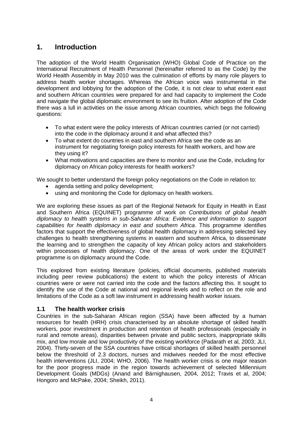## <span id="page-4-0"></span>**1. Introduction**

The adoption of the World Health Organisation (WHO) Global Code of Practice on the International Recruitment of Health Personnel (hereinafter referred to as the Code) by the World Health Assembly in May 2010 was the culmination of efforts by many role players to address health worker shortages. Whereas the African voice was instrumental in the development and lobbying for the adoption of the Code, it is not clear to what extent east and southern African countries were prepared for and had capacity to implement the Code and navigate the global diplomatic environment to see its fruition. After adoption of the Code there was a lull in activities on the issue among African countries, which begs the following questions:

- To what extent were the policy interests of African countries carried (or not carried) into the code in the diplomacy around it and what affected this?
- To what extent do countries in east and southern Africa see the code as an instrument for negotiating foreign policy interests for health workers, and how are they using it?
- What motivations and capacities are there to monitor and use the Code, including for diplomacy on African policy interests for health workers?

We sought to better understand the foreign policy negotiations on the Code in relation to:

- agenda setting and policy development;
- using and monitoring the Code for diplomacy on health workers.

We are exploring these issues as part of the Regional Network for Equity in Health in East and Southern Africa (EQUINET) programme of work on *Contributions of global health diplomacy to health systems in sub-Saharan Africa: Evidence and information to support capabilities for health diplomacy in east and southern Africa*. This programme identifies factors that support the effectiveness of global health diplomacy in addressing selected key challenges to health strengthening systems in eastern and southern Africa, to disseminate the learning and to strengthen the capacity of key African policy actors and stakeholders within processes of health diplomacy. One of the areas of work under the EQUINET programme is on diplomacy around the Code.

This explored from existing literature (policies, official documents, published materials including peer review publications) the extent to which the policy interests of African countries were or were not carried into the code and the factors affecting this. It sought to identify the use of the Code at national and regional levels and to reflect on the role and limitations of the Code as a soft law instrument in addressing health worker issues.

#### <span id="page-4-1"></span>**1.1 The health worker crisis**

Countries in the sub-Saharan African region (SSA) have been affected by a human resources for health (HRH) crisis characterised by an absolute shortage of skilled health workers, poor investment in production and retention of health professionals (especially in rural and remote areas), disparities between private and public sectors, inappropriate skills mix, and low morale and low productivity of the existing workforce (Padarath et al, 2003; JLI, 2004). Thirty-seven of the SSA countries have critical shortages of skilled health personnel below the threshold of 2.3 doctors, nurses and midwives needed for the most effective health interventions (JLI, 2004; WHO, 2006). The health worker crisis is one major reason for the poor progress made in the region towards achievement of selected Millennium Development Goals (MDGs) (Anand and Bärnighausen, 2004, 2012; Travis et al, 2004; Hongoro and McPake, 2004; Sheikh, 2011).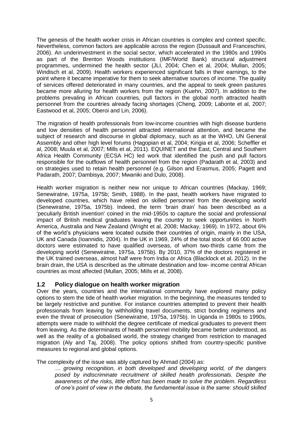The genesis of the health worker crisis in African countries is complex and context specific. Nevertheless, common factors are applicable across the region (Dussault and Franceschini, 2006). An underinvestment in the social sector, which accelerated in the 1980s and 1990s as part of the Brenton Woods institutions (IMF/World Bank) structural adjustment programmes, undermined the health sector (JLI, 2004; Chen et al, 2004; Mullan, 2005; Windisch et al, 2009). Health workers experienced significant falls in their earnings, to the point where it became imperative for them to seek alternative sources of income. The quality of services offered deteriorated in many countries, and the appeal to seek green pastures became more alluring for health workers from the region (Kuehn, 2007). In addition to the problems prevaling in African countries, pull factors in the global north attracted health personnel from the countries already facing shortages (Cheng, 2009; Labonte et al, 2007; Eastwood et al, 2005; Oberoi and Lin, 2006).

The migration of health professionals from low-income countries with high disease burdens and low densities of health personnel attracted international attention, and became the subject of research and discourse in global diplomacy, such as at the WHO, UN General Assembly and other high level forums (Hagopian et al, 2004; Kirigia et al, 2006; Scheffler et al, 2008; Muula et al, 2007; Mills et al, 2011). EQUINET and the East, Central and Southern Africa Health Community (ECSA HC) led work that identified the push and pull factors responsible for the outflows of health personnel from the region (Padarath et al, 2003) and on strategies used to retain health personnel (e.g. Gilson and Erasmus, 2005; Pagett and Padarath, 2007; Dambisya, 2007; Mwaniki and Dulo, 2008).

Health worker migration is neither new nor unique to African countries (Mackay, 1969; Senewiratne, 1975a, 1975b; Smith, 1988). In the past, health workers have migrated to developed countries, which have relied on skilled personnel from the developing world (Senewiratne, 1975a, 1975b). Indeed, the term 'brain drain' has been described as a 'peculiarly British invention' coined in the mid-1950s to capture the social and professional impact of British medical graduates leaving the country to seek opportunities in North America, Australia and New Zealand (Wright et al, 2008; Mackay, 1969). In 1972, about 6% of the world's physicians were located outside their countries of origin, mainly in the USA, UK and Canada (Ioannidis, 2004). In the UK in 1969, 24% of the total stock of 66 000 active doctors were estimated to have qualified overseas, of whom two-thirds came from the developing world (Senewiratne, 1975a, 1975b). By 2010, 37% of the doctors registered in the UK trained overseas, almost half were from India or Africa (Blacklock et al, 2012). In the brain drain, the USA is described as the ultimate destination and low- income central African countries as most affected (Mullan, 2005; MiIls et al, 2008).

#### <span id="page-5-0"></span>**1.2 Policy dialogue on health worker migration**

Over the years, countries and the international community have explored many policy options to stem the tide of health worker migration. In the beginning, the measures tended to be largely restrictive and punitive. For instance countries attempted to prevent their health professionals from leaving by withholding travel documents, strict bonding regimens and even the threat of prosecution (Senewiratne, 1975a, 1975b). In Uganda in 1980s to 1990s, attempts were made to withhold the degree certificate of medical graduates to prevent them from leaving. As the determinants of health personnel mobility became better understood, as well as the reality of a globalised world, the strategy changed from restriction to managed migration (Aly and Taj, 2008). The policy options shifted from country-specific punitive measures to regional and global options.

The complexity of the issue was ably captured by Ahmad (2004) as:

*… growing recognition, in both developed and developing world, of the dangers posed by indiscriminate recruitment of skilled health professionals. Despite the awareness of the risks, little effort has been made to solve the problem. Regardless of one's point of view in the debate, the fundamental issue is the same: should skilled*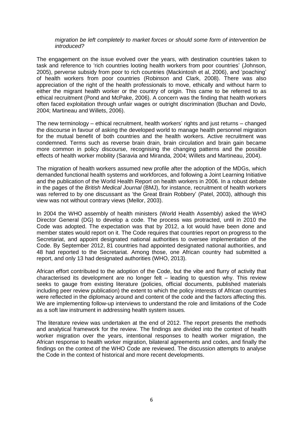#### *migration be left completely to market forces or should some form of intervention be introduced?*

The engagement on the issue evolved over the years, with destination countries taken to task and reference to 'rich countries looting health workers from poor countries' (Johnson, 2005), perverse subsidy from poor to rich countries (Mackintosh et al, 2006), and 'poaching' of health workers from poor countries (Robinson and Clark, 2008). There was also appreciation of the right of the health professionals to move, ethically and without harm to either the migrant health worker or the country of origin. This came to be referred to as ethical recruitment (Pond and McPake, 2006). A concern was the finding that health workers often faced exploitation through unfair wages or outright discrimination (Buchan and Dovlo, 2004; Martineau and Willets, 2006).

The new terminology – ethical recruitment, health workers' rights and just returns – changed the discourse in favour of asking the developed world to manage health personnel migration for the mutual benefit of both countries and the health workers. Active recruitment was condemned. Terms such as reverse brain drain, brain circulation and brain gain became more common in policy discourse, recognising the changing patterns and the possible effects of health worker mobility (Saravia and Miranda, 2004; Willets and Martineau, 2004).

The migration of health workers assumed new profile after the adoption of the MDGs, which demanded functional health systems and workforces, and following a Joint Learning Initiative and the publication of the World Health Report on health workers in 2006. In a robust debate in the pages of the *British Medical Journal* (BMJ), for instance, recruitment of health workers was referred to by one discussant as 'the Great Brain Robbery' (Patel, 2003), although this view was not without contrary views (Mellor, 2003).

In 2004 the WHO assembly of health ministers (World Health Assembly) asked the WHO Director General (DG) to develop a code. The process was protracted, until in 2010 the Code was adopted. The expectation was that by 2012, a lot would have been done and member states would report on it. The Code requires that countries report on progress to the Secretariat, and appoint designated national authorities to oversee implementation of the Code. By September 2012, 81 countries had appointed designated national authorities, and 48 had reported to the Secretariat. Among those, one African country had submitted a report, and only 13 had designated authorities (WHO, 2013).

African effort contributed to the adoption of the Code, but the vibe and flurry of activity that characterised its development are no longer felt – leading to question why. This review seeks to gauge from existing literature (policies, official documents, published materials including peer review publication) the extent to which the policy interests of African countries were reflected in the diplomacy around and content of the code and the factors affecting this. We are implementing follow-up interviews to understand the role and limitations of the Code as a soft law instrument in addressing health system issues.

The literature review was undertaken at the end of 2012. The report presents the methods and analytical framework for the review. The findings are divided into the context of health worker migration over the years, intentional responses to health worker migration, the African response to health worker migration, bilateral agreements and codes, and finally the findings on the context of the WHO Code are reviewed. The discussion attempts to analyse the Code in the context of historical and more recent developments.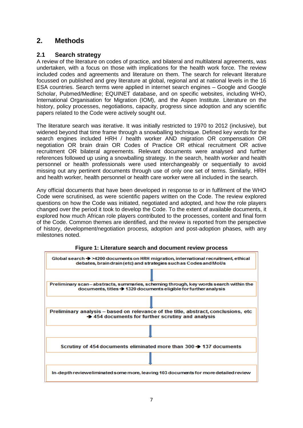## <span id="page-7-0"></span>**2. Methods**

#### <span id="page-7-1"></span>**2.1 Search strategy**

A review of the literature on codes of practice, and bilateral and multilateral agreements, was undertaken, with a focus on those with implications for the health work force. The review included codes and agreements and literature on them. The search for relevant literature focussed on published and grey literature at global, regional and at national levels in the 16 ESA countries. Search terms were applied in internet search engines – Google and Google Scholar, Pubmed/Medline; EQUINET database, and on specific websites, including WHO, International Organisation for Migration (IOM), and the Aspen Institute. Literature on the history, policy processes, negotiations, capacity, progress since adoption and any scientific papers related to the Code were actively sought out.

The literature search was iterative. It was initially restricted to 1970 to 2012 (inclusive), but widened beyond that time frame through a snowballing technique. Defined key words for the search engines included HRH / health worker AND migration OR compensation OR negotiation OR brain drain OR Codes of Practice OR ethical recruitment OR active recruitment OR bilateral agreements. Relevant documents were analysed and further references followed up using a snowballing strategy. In the search, health worker and health personnel or health professionals were used interchangeably or sequentially to avoid missing out any pertinent documents through use of only one set of terms. Similarly, HRH and health worker, health personnel or health care worker were all included in the search.

Any official documents that have been developed in response to or in fulfilment of the WHO Code were scrutinised, as were scientific papers written on the Code. The review explored questions on how the Code was initiated, negotiated and adopted, and how the role players changed over the period it took to develop the Code. To the extent of available documents, it explored how much African role players contributed to the processes, content and final form of the Code. Common themes are identified, and the review is reported from the perspective of history, development/negotiation process, adoption and post-adoption phases, with any milestones noted.



**Figure 1: Literature search and document review process**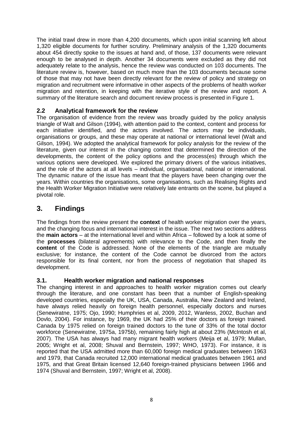The initial trawl drew in more than 4,200 documents, which upon initial scanning left about 1,320 eligible documents for further scrutiny. Preliminary analysis of the 1,320 documents about 454 directly spoke to the issues at hand and, of those, 137 documents were relevant enough to be analysed in depth. Another 34 documents were excluded as they did not adequately relate to the analysis, hence the review was conducted on 103 documents. The literature review is, however, based on much more than the 103 documents because some of those that may not have been directly relevant for the review of policy and strategy on migration and recruitment were informative in other aspects of the problems of health worker migration and retention, in keeping with the iterative style of the review and report. A summary of the literature search and document review process is presented in Figure 1.

#### <span id="page-8-0"></span>**2.2 Analytical framework for the review**

The organisation of evidence from the review was broadly guided by the policy analysis triangle of Walt and Gilson (1994), with attention paid to the context, content and process for each initiative identified, and the actors involved. The actors may be individuals, organisations or groups, and these may operate at national or international level (Walt and Gilson, 1994). We adopted the analytical framework for policy analysis for the review of the literature, given our interest in the changing context that determined the direction of the developments, the content of the policy options and the process(es) through which the various options were developed. We explored the primary drivers of the various initiatives, and the role of the actors at all levels – individual, organisational, national or international. The dynamic nature of the issue has meant that the players have been changing over the years. Within countries the organisations, some organisations, such as Realising Rights and the Health Worker Migration Initiative were relatively late entrants on the scene, but played a pivotal role.

## <span id="page-8-1"></span>**3. Findings**

The findings from the review present the **context** of health worker migration over the years, and the changing focus and international interest in the issue. The next two sections address the **main actors** – at the international level and within Africa – followed by a look at some of the **processes** (bilateral agreements) with relevance to the Code, and then finally the **content** of the Code is addressed. None of the elements of the triangle are mutually exclusive; for instance, the content of the Code cannot be divorced from the actors responsible for its final content, nor from the process of negotiation that shaped its development.

#### <span id="page-8-2"></span>**3.1. Health worker migration and national responses**

The changing interest in and approaches to health worker migration comes out clearly through the literature, and one constant has been that a number of English-speaking developed countries, especially the UK, USA, Canada, Australia, New Zealand and Ireland, have always relied heavily on foreign health personnel, especially doctors and nurses (Senewiratne, 1975; Ojo, 1990; Humphries et al, 2009, 2012, Wanless, 2002, Buchan and Dovlo, 2004). For instance, by 1969, the UK had 25% of their doctors as foreign trained. Canada by 1975 relied on foreign trained doctors to the tune of 33% of the total doctor workforce (Senewiratne, 1975a, 1975b), remaining fairly high at about 23% (McIntosh et al, 2007). The USA has always had many migrant health workers (Meija et al, 1979; Mullan, 2005; Wright et al, 2008; Shuval and Bernstein, 1997; WHO, 1973). For instance, it is reported that the USA admitted more than 60,000 foreign medical graduates between 1963 and 1979, that Canada recruited 12,000 international medical graduates between 1961 and 1975, and that Great Britain licensed 12,640 foreign-trained physicians between 1966 and 1974 (Shuval and Bernstein, 1997; Wright et al, 2008).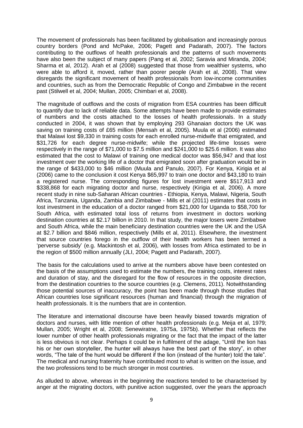The movement of professionals has been facilitated by globalisation and increasingly porous country borders (Pond and McPake, 2006; Pagett and Padarath, 2007). The factors contributing to the outflows of health professionals and the patterns of such movements have also been the subject of many papers (Pang et al, 2002; Saravia and Miranda, 2004; Sharma et al, 2012). Arah et al (2008) suggested that those from wealthier systems, who were able to afford it, moved, rather than poorer people (Arah et al, 2008). That view disregards the significant movement of health professionals from low-income communities and countries, such as from the Democratic Republic of Congo and Zimbabwe in the recent past (Stilwell et al, 2004; Mullan, 2005; Chimbari et al, 2008).

The magnitude of outflows and the costs of migration from ESA countries has been difficult to quantify due to lack of reliable data. Some attempts have been made to provide estimates of numbers and the costs attached to the losses of health professionals. In a study conducted in 2004, it was shown that by employing 293 Ghanaian doctors the UK was saving on training costs of £65 million (Mensah et al, 2005). Muula et al (2006) estimated that Malawi lost \$9,330 in training costs for each enrolled nurse-midwife that emigrated, and \$31,726 for each degree nurse-midwife; while the projected life-time losses were respectively in the range of \$71,000 to \$7.5 million and \$241,000 to \$25.6 million. It was also estimated that the cost to Malawi of training one medical doctor was \$56,947 and that lost investment over the working life of a doctor that emigrated soon after graduation would be in the range of \$433,000 to \$46 million (Muula and Panulo, 2007). For Kenya, Kirigia et al (2006) came to the conclusion it cost Kenya \$65,997 to train one doctor and \$43,180 to train a registered nurse. The corresponding figures for lost investment were \$517,913 and \$338,868 for each migrating doctor and nurse, respectively (Kirigia et al, 2006). A more recent study in nine sub-Saharan African countries - Ethiopia, Kenya, Malawi, Nigeria, South Africa, Tanzania, Uganda, Zambia and Zimbabwe - Mills et al (2011) estimates that costs in lost investment in the education of a doctor ranged from \$21,000 for Uganda to \$58,700 for South Africa, with estimated total loss of returns from investment in doctors working destination countries at \$2.17 billion in 2010. In that study, the major losers were Zimbabwe and South Africa, while the main beneficiary destination countries were the UK and the USA at \$2.7 billion and \$846 million, respectively (Mills et al, 2011). Elsewhere, the investment that source countries forego in the outflow of their health workers has been termed a 'perverse subsidy' (e.g. Mackintosh et al, 2006), with losses from Africa estimated to be in the region of \$500 million annually (JLI, 2004; Pagett and Padarath, 2007).

The basis for the calculations used to arrive at the numbers above have been contested on the basis of the assumptions used to estimate the numbers, the training costs, interest rates and duration of stay, and the disregard for the flow of resources in the opposite direction, from the destination countries to the source countries (e.g. Clemens, 2011). Notwithstanding those potential sources of inaccuracy, the point has been made through those studies that African countries lose significant resources (human and financial) through the migration of health professionals. It is the numbers that are in contention.

The literature and international discourse have been heavily biased towards migration of doctors and nurses, with little mention of other health professionals (e.g. Meija et al, 1979; Mullan, 2005; Wright et al, 2008; Senewiratne, 1975a, 1975b). Whether that reflects the lower number of other health professionals migrating or the fact that the impact of the latter is less obvious is not clear. Perhaps it could be in fulfilment of the adage, "Until the lion has his or her own storyteller, the hunter will always have the best part of the story", in other words, "The tale of the hunt would be different if the lion (instead of the hunter) told the tale". The medical and nursing fraternity have contributed most to what is written on the issue, and the two professions tend to be much stronger in most countries.

As alluded to above, whereas in the beginning the reactions tended to be characterised by anger at the migrating doctors, with punitive action suggested, over the years the approach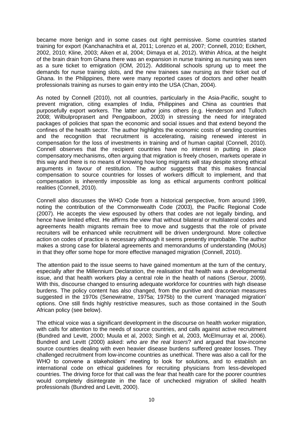became more benign and in some cases out right permissive. Some countries started training for export (Kanchanachitra et al, 2011; Lorenzo et al, 2007; Connell, 2010; Eckhert, 2002, 2010; Kline, 2003; Aiken et al, 2004; Dimaya et al, 2012). Within Africa, at the height of the brain drain from Ghana there was an expansion in nurse training as nursing was seen as a sure ticket to emigration (IOM, 2012). Additional schools sprung up to meet the demands for nurse training slots, and the new trainees saw nursing as their ticket out of Ghana. In the Philippines, there were many reported cases of doctors and other health professionals training as nurses to gain entry into the USA (Chan, 2004).

As noted by Connell (2010), not all countries, particularly in the Asia-Pacific, sought to prevent migration, citing examples of India, Philippines and China as countries that purposefully export workers. The latter author joins others (e.g. Henderson and Tulloch 2008; Wilbulproprasert and Pengpaiboon, 2003) in stressing the need for integrated packages of policies that span the economic and social issues and that extend beyond the confines of the health sector. The author highlights the economic costs of sending countries and the recognition that recruitment is accelerating, raising renewed interest in compensation for the loss of investments in training and of human capital (Connell, 2010). Connell observes that the recipient countries have no interest in putting in place compensatory mechanisms, often arguing that migration is freely chosen, markets operate in this way and there is no means of knowing how long migrants will stay despite strong ethical arguments in favour of restitution. The author suggests that this makes financial compensation to source countries for losses of workers difficult to implement, and that compensation is inherently impossible as long as ethical arguments confront political realities (Connell, 2010).

Connell also discusses the WHO Code from a historical perspective, from around 1999, noting the contribution of the Commonwealth Code (2003), the Pacific Regional Code (2007). He accepts the view espoused by others that codes are not legally binding, and hence have limited effect. He affirms the view that without bilateral or multilateral codes and agreements health migrants remain free to move and suggests that the role of private recruiters will be enhanced while recruitment will be driven underground. More collective action on codes of practice is necessary although it seems presently improbable. The author makes a strong case for bilateral agreements and memorandums of understanding (MoUs) in that they offer some hope for more effective managed migration (Connell, 2010).

The attention paid to the issue seems to have gained momentum at the turn of the century, especially after the Millennium Declaration, the realisation that health was a developmental issue, and that health workers play a central role in the health of nations (Serour, 2009). With this, discourse changed to ensuring adequate workforce for countries with high disease burdens. The policy content has also changed, from the punitive and draconian measures suggested in the 1970s (Senewiratne, 1975a; 1975b) to the current 'managed migration' options. One still finds highly restrictive measures, such as those contained in the South African policy (see below).

The ethical voice was a significant development in the discourse on health worker migration, with calls for attention to the needs of source countries, and calls against active recruitment (Bundred and Levitt, 2000; Muula et al, 2003; Singh et al, 2003, McElmurray et al, 2006). Bundred and Levitt (2000) asked: *who are the real losers*? and argued that low-income source countries dealing with even heavier disease burdens suffered greater losses. They challenged recruitment from low-income countries as unethical. There was also a call for the WHO to convene a stakeholders' meeting to look for solutions, and to establish an international code on ethical guidelines for recruiting physicians from less-developed countries. The driving force for that call was the fear that health care for the poorer countries would completely disintegrate in the face of unchecked migration of skilled health professionals (Bundred and Levitt, 2000).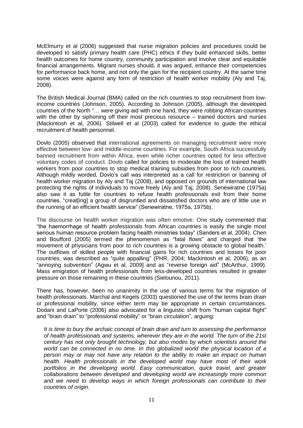McElmurry et al (2006) suggested that nurse migration policies and procedures could be developed to satisfy primary health care (PHC) ethics if they build enhanced skills, better health outcomes for home country, community participation and involve clear and equitable financial arrangements. Migrant nurses should, it was argued, enhance their competencies for performance back home, and not only the gain for the recipient country. At the same time some voices were against any form of restriction of health worker mobility (Aly and Taj, 2008).

The British Medical Journal (BMA) called on the rich countries to stop recruitment from lowincome countries (Johnson, 2005). According to Johnson (2005), although the developed countries of the North "… were giving aid with one hand, they were robbing African countries with the other by siphoning off their most precious resource – trained doctors and nurses (Mackintosh et al, 2006). Stilwell et al (2003) called for evidence to guide the ethical recruitment of health personnel.

Dovlo (2005) observed that international agreements on managing recruitment were more effective between low- and middle-income countries. For example, South Africa successfully banned recruitment from within Africa, even while richer countries opted for less effective voluntary codes of conduct. Dovlo called for policies to moderate the loss of trained health workers from poor countries to stop medical training subsidies from poor to rich countries. Although mildly worded, Dovlo's call was interpreted as a call for restriction or banning of health worker migration by Aly and Taj (2008), and opposed on grounds of international law protecting the rights of individuals to move freely (Aly and Taj, 2008). Senewiratne (1975a) also saw it as futile for countries to refuse health professionals exit from their home countries, "creat[ing] a group of disgruntled and dissatisfied doctors who are of little use in the running of an efficient health service" (Senewiratne, 1975a, 1975b).

The discourse on health worker migration was often emotive. One study commented that "the haemorrhage of health professionals from African countries is easily the single most serious human resource problem facing health ministries today" (Sanders et al, 2004). Chen and Boufford (2005) termed the phenomenon as "fatal flows" and charged that 'the movement of physicians from poor to rich countries is a growing obstacle to global health.' The outflows of skilled people with financial gains for rich countries and losses for poor countries, was described as "quite appalling" (PHR, 2004; Mackintosh et al, 2006); as an "annoying subvention" (Agwu et al, 2009] and as "reverse foreign aid" (McArthur, 1999). Mass emigration of health professionals from less-developed countries resulted in greater pressure on those remaining in these countries (Sielounou, 2011).

There has, however, been no unanimity in the use of various terms for the migration of health professionals. Marchal and Kegels (2003) questioned the use of the terms brain drain or professional mobility, since either term may be appropriate in certain circumstances. Dodani and LaPorte (2006) also advocated for a linguistic shift from "human capital flight" and "brain drain" to "professional mobility" or "brain circulation", arguing:

*It is time to bury the archaic concept of brain drain and turn to assessing the performance of health professionals and systems, wherever they are in the world. The turn of the 21st century has not only brought technology, but also modes by which scientists around the world can be connected in no time. In this globalized world the physical location of a person may or may not have any relation to the ability to make an impact on human health. Health professionals in the developed world may have most of their work*  portfolios in the developing world. Easy communication, quick travel, and greater *collaborations between developed and developing world are increasingly more common and we need to develop ways in which foreign professionals can contribute to their countries of origin.*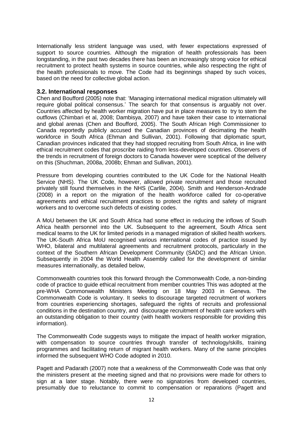Internationally less strident language was used, with fewer expectations expressed of support to source countries. Although the migration of health professionals has been longstanding, in the past two decades there has been an increasingly strong voice for ethical recruitment to protect health systems in source countries, while also respecting the right of the health professionals to move. The Code had its beginnings shaped by such voices, based on the need for collective global action.

#### <span id="page-12-0"></span>**3.2. International responses**

Chen and Boufford (2005) note that: 'Managing international medical migration ultimately will require global political consensus.' The search for that consensus is arguably not over. Countries affected by health worker migration have put in place measures to try to stem the outflows (Chimbari et al, 2008; Dambisya, 2007) and have taken their case to international and global arenas (Chen and Boufford, 2005). The South African High Commissioner to Canada reportedly publicly accused the Canadian provinces of decimating the health workforce in South Africa (Ehman and Sullivan, 2001). Following that diplomatic spurt, Canadian provinces indicated that they had stopped recruiting from South Africa, in line with ethical recruitment codes that proscribe raiding from less-developed countries. Observers of the trends in recruitment of foreign doctors to Canada however were sceptical of the delivery on this (Shuchman, 2008a, 2008b; Ehman and Sullivan, 2001).

Pressure from developing countries contributed to the UK Code for the National Health Service (NHS). The UK Code, however, allowed private recruitment and those recruited privately still found themselves in the NHS (Carlile, 2004). Smith and Henderson-Andrade (2008) in a report on the migration of the health workforce called for co-operative agreements and ethical recruitment practices to protect the rights and safety of migrant workers and to overcome such defects of existing codes.

A MoU between the UK and South Africa had some effect in reducing the inflows of South Africa health personnel into the UK. Subsequent to the agreement, South Africa sent medical teams to the UK for limited periods in a managed migration of skilled health workers. The UK-South Africa MoU recognised various international codes of practice issued by WHO, bilateral and multilateral agreements and recruitment protocols, particularly in the context of the Southern African Development Community (SADC) and the African Union. Subsequently in 2004 the World Health Assembly called for the development of similar measures internationally, as detailed below,

Commonwealth countries took this forward through the Commonwealth Code, a non-binding code of practice to guide ethical recruitment from member countries This was adopted at the pre-WHA Commonwealth Ministers Meeting on 18 May 2003 in Geneva. The Commonwealth Code is voluntary. It seeks to discourage targeted recruitment of workers from countries experiencing shortages, safeguard the rights of recruits and professional conditions in the destination country, and discourage recruitment of health care workers with an outstanding obligation to their country (with health workers responsible for providing this information).

The Commonwealth Code suggests ways to mitigate the impact of health worker migration, with compensation to source countries through transfer of technology/skills, training programmes and facilitating return of migrant health workers. Many of the same principles informed the subsequent WHO Code adopted in 2010.

Pagett and Padarath (2007) note that a weakness of the Commonwealth Code was that only the ministers present at the meeting signed and that no provisions were made for others to sign at a later stage. Notably, there were no signatories from developed countries, presumably due to reluctance to commit to compensation or reparations (Pagett and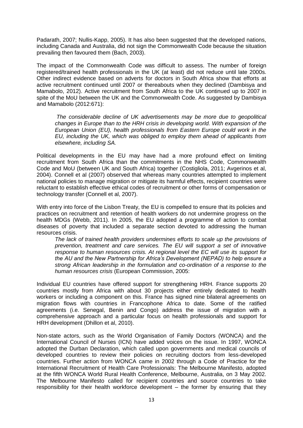Padarath, 2007; Nullis-Kapp, 2005). It has also been suggested that the developed nations, including Canada and Australia, did not sign the Commonwealth Code because the situation prevailing then favoured them (Bach, 2003).

The impact of the Commonwealth Code was difficult to assess. The number of foreign registered/trained health professionals in the UK (at least) did not reduce until late 2000s. Other indirect evidence based on adverts for doctors in South Africa show that efforts at active recruitment continued until 2007 or thereabouts when they declined (Dambisya and Mamabolo, 2012). Active recruitment from South Africa to the UK continued up to 2007 in spite of the MoU between the UK and the Commonwealth Code. As suggested by Dambisya and Mamabolo (2012:671):

*The considerable decline of UK advertisements may be more due to geopolitical changes in Europe than to the HRH crisis in developing world. With expansion of the European Union (EU), health professionals from Eastern Europe could work in the EU, including the UK, which was obliged to employ them ahead of applicants from elsewhere, including SA.*

Political developments in the EU may have had a more profound effect on limiting recruitment from South Africa than the commitments in the NHS Code, Commonwealth Code and MoU (between UK and South Africa) together (Costigliola, 2011; Avgerinos et al, 2004). Connell et al (2007) observed that whereas many countries attempted to implement national policies to manage migration or mitigate its harmful effects, recipient countries were reluctant to establish effective ethical codes of recruitment or other forms of compensation or technology transfer (Connell et al, 2007).

With entry into force of the Lisbon Treaty, the EU is compelled to ensure that its policies and practices on recruitment and retention of health workers do not undermine progress on the health MDGs (Webb, 2011). In 2005, the EU adopted a programme of action to combat diseases of poverty that included a separate section devoted to addressing the human resources crisis.

*The lack of trained health providers undermines efforts to scale up the provisions of prevention, treatment and care services. The EU will support a set of innovative response to human resources crisis. At regional level the EC will use its support for the AU and the New Partnership for Africa's Development (NEPAD) to help ensure a strong African leadership in the formulation and co-ordination of a response to the human resources crisis* (European Commission, 2005:

Individual EU countries have offered support for strengthening HRH. France supports 20 countries mostly from Africa with about 30 projects either entirely dedicated to health workers or including a component on this. France has signed nine bilateral agreements on migration flows with countries in Francophone Africa to date. Some of the ratified agreements (i.e. Senegal, Benin and Congo) address the issue of migration with a comprehensive approach and a particular focus on health professionals and support for HRH development (Dhillon et al, 2010).

Non-state actors, such as the World Organisation of Family Doctors (WONCA) and the International Council of Nurses (ICN) have added voices on the issue. In 1997, WONCA adopted the Durban Declaration, which called upon governments and medical councils of developed countries to review their policies on recruiting doctors from less-developed countries. Further action from WONCA came in 2002 through a Code of Practice for the International Recruitment of Health Care Professionals: The Melbourne Manifesto, adopted at the fifth WONCA World Rural Health Conference, Melbourne, Australia, on 3 May 2002. The Melbourne Manifesto called for recipient countries and source countries to take responsibility for their health workforce development – the former by ensuring that they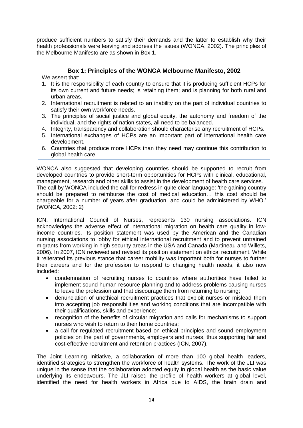produce sufficient numbers to satisfy their demands and the latter to establish why their health professionals were leaving and address the issues (WONCA, 2002). The principles of the Melbourne Manifesto are as shown in Box 1.

#### **Box 1: Principles of the WONCA Melbourne Manifesto, 2002**

We assert that:

- 1. It is the responsibility of each country to ensure that it is producing sufficient HCPs for its own current and future needs; is retaining them; and is planning for both rural and urban areas.
- 2. International recruitment is related to an inability on the part of individual countries to satisfy their own workforce needs.
- 3. The principles of social justice and global equity, the autonomy and freedom of the individual, and the rights of nation states, all need to be balanced.
- 4. Integrity, transparency and collaboration should characterise any recruitment of HCPs.
- 5. International exchanges of HCPs are an important part of international health care development.
- 6. Countries that produce more HCPs than they need may continue this contribution to global health care.

WONCA also suggested that developing countries should be supported to recruit from developed countries to provide short-term opportunities for HCPs with clinical, educational, management, research and other skills to assist in the development of health care services. The call by WONCA included the call for redress in quite clear language: 'the gaining country should be prepared to reimburse the cost of medical education… this cost should be chargeable for a number of years after graduation, and could be administered by WHO.' (WONCA, 2002: 2)

ICN, International Council of Nurses, represents 130 nursing associations. ICN acknowledges the adverse effect of international migration on health care quality in lowincome countries. Its position statement was used by the American and the Canadian nursing associations to lobby for ethical international recruitment and to prevent untrained migrants from working in high security areas in the USA and Canada (Martineau and Willets, 2006). In 2007, ICN reviewed and revised its position statement on ethical recruitment. While it reiterated its previous stance that career mobility was important both for nurses to further their careers and for the profession to respond to changing health needs, it also now included:

- condemnation of recruiting nurses to countries where authorities have failed to implement sound human resource planning and to address problems causing nurses to leave the profession and that discourage them from returning to nursing;
- denunciation of unethical recruitment practices that exploit nurses or mislead them into accepting job responsibilities and working conditions that are incompatible with their qualifications, skills and experience;
- recognition of the benefits of circular migration and calls for mechanisms to support nurses who wish to return to their home countries;
- a call for regulated recruitment based on ethical principles and sound employment policies on the part of governments, employers and nurses, thus supporting fair and cost-effective recruitment and retention practices (ICN, 2007).

The Joint Learning Initiative, a collaboration of more than 100 global health leaders, identified strategies to strengthen the workforce of health systems. The work of the JLI was unique in the sense that the collaboration adopted equity in global health as the basic value underlying its endeavours. The JLI raised the profile of health workers at global level, identified the need for health workers in Africa due to AIDS, the brain drain and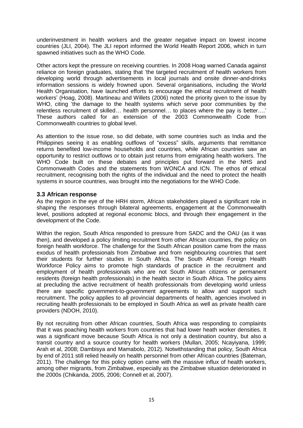underinvestment in health workers and the greater negative impact on lowest income countries (JLI, 2004). The JLI report informed the World Health Report 2006, which in turn spawned initiatives such as the WHO Code.

Other actors kept the pressure on receiving countries. In 2008 Hoag warned Canada against reliance on foreign graduates, stating that 'the targeted recruitment of health workers from developing world through advertisements in local journals and onsite dinner-and-drinks information sessions is widely frowned upon. Several organisations, including the World Health Organisation, have launched efforts to encourage the ethical recruitment of health workers' (Hoag, 2008). Martineau and Willets (2006) noted the priority given to the issue by WHO, citing 'the damage to the health systems which serve poor communities by the relentless recruitment of skilled*…* health personnel*…* to places where the pay is better….' These authors called for an extension of the 2003 Commonwealth Code from Commonwealth countries to global level.

As attention to the issue rose, so did debate, with some countries such as India and the Philippines seeing it as enabling outflows of "excess" skills, arguments that remittance returns benefited low-income households and countries, while African countries saw an opportunity to restrict outflows or to obtain just returns from emigrating health workers. The WHO Code built on these debates and principles put forward in the NHS and Commonwealth Codes and the statements from WONCA and ICN. The ethos of ethical recruitment, recognising both the rights of the individual and the need to protect the health systems in source countries, was brought into the negotiations for the WHO Code.

#### <span id="page-15-0"></span>**3.3 African response**

As the region in the eye of the HRH storm, African stakeholders played a significant role in shaping the responses through bilateral agreements, engagement at the Commonwealth level, positions adopted at regional economic blocs, and through their engagement in the development of the Code.

Within the region, South Africa responded to pressure from SADC and the OAU (as it was then), and developed a policy limiting recruitment from other African countries, the policy on foreign health workforce. The challenge for the South African position came from the mass exodus of health professionals from Zimbabwe and from neighbouring countries that sent their students for further studies in South Africa. The South African Foreign Health Workforce Policy aims to promote high standards of practice in the recruitment and employment of health professionals who are not South African citizens or permanent residents (foreign health professionals) in the health sector in South Africa. The policy aims at precluding the active recruitment of health professionals from developing world unless there are specific government-to-government agreements to allow and support such recruitment. The policy applies to all provincial departments of health, agencies involved in recruiting health professionals to be employed in South Africa as well as private health care providers (NDOH, 2010).

By not recruiting from other African countries, South Africa was responding to complaints that it was poaching health workers from countries that had lower heath worker densities. It was a significant move because South Africa is not only a destination country, but also a transit country and a source country for health workers (Mullan, 2005; Ncayiyana, 1999; Arah et al, 2008; Dambisya and Mamabolo, 2012). Notwithstanding that policy, South Africa by end of 2011 still relied heavily on health personnel from other African countries (Bateman, 2011). The challenge for this policy option came with the massive influx of health workers, among other migrants, from Zimbabwe, especially as the Zimbabwe situation deteriorated in the 2000s (Chikanda, 2005, 2006; Connell et al, 2007).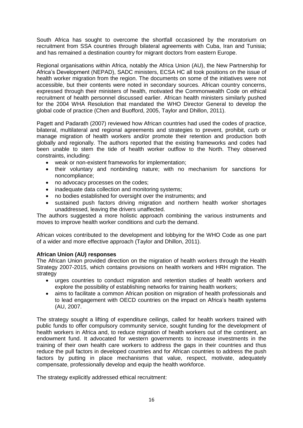South Africa has sought to overcome the shortfall occasioned by the moratorium on recruitment from SSA countries through bilateral agreements with Cuba, Iran and Tunisia; and has remained a destination country for migrant doctors from eastern Europe.

Regional organisations within Africa, notably the Africa Union (AU), the New Partnership for Africa's Development (NEPAD), SADC ministers, ECSA HC all took positions on the issue of health worker migration from the region. The documents on some of the initiatives were not accessible, but their contents were noted in secondary sources. African country concerns, expressed through their ministers of health, motivated the Commonwealth Code on ethical recruitment of health personnel discussed earlier. African health ministers similarly pushed for the 2004 WHA Resolution that mandated the WHO Director General to develop the global code of practice (Chen and Buofford, 2005, Taylor and Dhillon, 2011).

Pagett and Padarath (2007) reviewed how African countries had used the codes of practice, bilateral, multilateral and regional agreements and strategies to prevent, prohibit, curb or manage migration of health workers and/or promote their retention and production both globally and regionally. The authors reported that the existing frameworks and codes had been unable to stem the tide of health worker outflow to the North. They observed constraints, including:

- weak or non-existent frameworks for implementation;
- their voluntary and nonbinding nature; with no mechanism for sanctions for noncompliance;
- no advocacy processes on the codes;
- inadequate data collection and monitoring systems;
- no bodies established for oversight over the instruments; and
- sustained push factors driving migration and northern health worker shortages unaddressed, leaving the drivers unaffected.

The authors suggested a more holistic approach combining the various instruments and moves to improve health worker conditions and curb the demand.

African voices contributed to the development and lobbying for the WHO Code as one part of a wider and more effective approach (Taylor and Dhillon, 2011).

#### **African Union (AU) responses**

The African Union provided direction on the migration of health workers through the Health Strategy 2007-2015, which contains provisions on health workers and HRH migration. The strategy

- urges countries to conduct migration and retention studies of health workers and explore the possibility of establishing networks for training health workers;
- aims to facilitate a common African position on migration of health professionals and to lead engagement with OECD countries on the impact on Africa's health systems (AU, 2007.

The strategy sought a lifting of expenditure ceilings, called for health workers trained with public funds to offer compulsory community service, sought funding for the development of health workers in Africa and, to reduce migration of health workers out of the continent, an endowment fund. It advocated for western governments to increase investments in the training of their own health care workers to address the gaps in their countries and thus reduce the pull factors in developed countries and for African countries to address the push factors by putting in place mechanisms that value, respect, motivate, adequately compensate, professionally develop and equip the health workforce.

The strategy explicitly addressed ethical recruitment: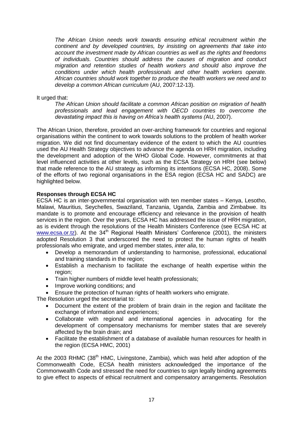*The African Union needs work towards ensuring ethical recruitment within the continent and by developed countries, by insisting on agreements that take into account the investment made by African countries as well as the rights and freedoms of individuals. Countries should address the causes of migration and conduct migration and retention studies of health workers and should also improve the conditions under which health professionals and other health workers operate. African countries should work together to produce the health workers we need and to develop a common African curriculum* (AU, 2007:12-13).

It urged that:

*The African Union should facilitate a common African position on migration of health professionals and lead engagement with OECD countries to overcome the devastating impact this is having on Africa's health systems (*AU, 2007).

The African Union, therefore, provided an over-arching framework for countries and regional organisations within the continent to work towards solutions to the problem of health worker migration. We did not find documentary evidence of the extent to which the AU countries used the AU Health Strategy objectives to advance the agenda on HRH migration, including the development and adoption of the WHO Global Code. However, commitments at that level influenced activities at other levels, such as the ECSA Strategy on HRH (see below) that made reference to the AU strategy as informing its intentions (ECSA HC, 2008). Some of the efforts of two regional organisations in the ESA region (ECSA HC and SADC) are highlighted below.

#### **Responses through ECSA HC**

ECSA HC is an inter-governmental organisation with ten member states – Kenya, Lesotho, Malawi, Mauritius, Seychelles, Swaziland, Tanzania, Uganda, Zambia and Zimbabwe. Its mandate is to promote and encourage efficiency and relevance in the provision of health services in the region. Over the years, ECSA HC has addressed the issue of HRH migration, as is evident through the resolutions of the Health Ministers Conference (see ECSA HC at [www.ecsa.or.tz\)](http://www.ecsa.or.tz/). At the 34<sup>th</sup> Regional Health Ministers' Conference (2001), the ministers adopted Resolution 3 that underscored the need to protect the human rights of health professionals who emigrate, and urged member states, *inter alia*, to:

- Develop a memorandum of understanding to harmonise, professional, educational and training standards in the region;
- Establish a mechanism to facilitate the exchange of health expertise within the region;
- Train higher numbers of middle level health professionals;
- Improve working conditions; and
- Ensure the protection of human rights of health workers who emigrate.

The Resolution urged the secretariat to:

- Document the extent of the problem of brain drain in the region and facilitate the exchange of information and experiences;
- Collaborate with regional and international agencies in advocating for the development of compensatory mechanisms for member states that are severely affected by the brain drain; and
- Facilitate the establishment of a database of available human resources for health in the region (ECSA HMC, 2001)

At the 2003 RHMC (38<sup>th</sup> HMC, Livingstone, Zambia), which was held after adoption of the Commonwealth Code, ECSA health ministers acknowledged the importance of the Commonwealth Code and stressed the need for countries to sign legally binding agreements to give effect to aspects of ethical recruitment and compensatory arrangements. Resolution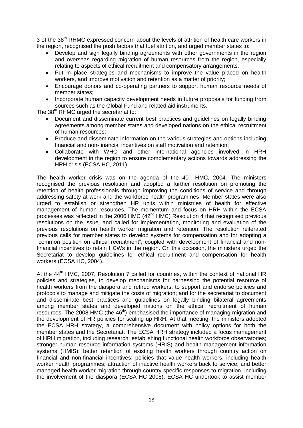3 of the 38<sup>th</sup> RHMC expressed concern about the levels of attrition of health care workers in the region, recognised the push factors that fuel attrition, and urged member states to:

- Develop and sign legally binding agreements with other governments in the region and overseas regarding migration of human resources from the region, especially relating to aspects of ethical recruitment and compensatory arrangements;
- Put in place strategies and mechanisms to improve the value placed on health workers, and improve motivation and retention as a matter of priority;
- Encourage donors and co-operating partners to support human resource needs of member states;
- Incorporate human capacity development needs in future proposals for funding from sources such as the Global Fund and related aid instruments.

The 38<sup>th</sup> RHMC urged the secretariat to:

- Document and disseminate current best practices and guidelines on legally binding agreements among member states and developed nations on the ethical recruitment of human resources;
- Produce and disseminate information on the various strategies and options including financial and non-financial incentives on staff motivation and retention;
- Collaborate with WHO and other international agencies involved in HRH development in the region to ensure complementary actions towards addressing the HRH crisis (ECSA HC, 2011).

The health worker crisis was on the agenda of the  $40<sup>th</sup>$  HMC, 2004. The ministers recognised the previous resolution and adopted a further resolution on promoting the retention of health professionals through improving the conditions of service and through addressing safety at work and the workforce health programmes. Member states were also urged to establish or strengthen HR units within ministries of health for effective management of human resources. The momentum and focus on HRH within the ECSA processes was reflected in the 2006 HMC  $(42<sup>nd</sup>$  HMC) Resolution 4 that recognised previous resolutions on the issue, and called for implementation, monitoring and evaluation of the previous resolutions on health worker migration and retention. The resolution reiterated previous calls for member states to develop systems for compensation and for adopting a "common position on ethical recruitment", coupled with development of financial and nonfinancial incentives to retain HCWs in the region. On this occasion, the ministers urged the Secretariat to develop guidelines for ethical recruitment and compensation for health workers (ECSA HC, 2004).

At the  $44<sup>th</sup>$  HMC, 2007, Resolution 7 called for countries, within the context of national HR policies and strategies, to develop mechanisms for harnessing the potential resource of health workers from the diaspora and retired workers; to support and endorse policies and protocols to manage and mitigate the costs of migration; and for the secretariat to document and disseminate best practices and guidelines on legally binding bilateral agreements among member states and developed nations on the ethical recruitment of human resources. The 2008 HMC (the 46<sup>th</sup>) emphasised the importance of managing migration and the development of HR policies for scaling up HRH. At that meeting, the ministers adopted the ECSA HRH strategy, a comprehensive document with policy options for both the member states and the Secretariat. The ECSA HRH strategy included a focus management of HRH migration, including research; establishing functional health workforce observatories; stronger human resource information systems (HRIS) and health management information systems (HMIS); better retention of existing health workers through country action on financial and non-financial incentives; policies that value health workers, including health worker health programmes; attraction of inactive health workers back to service; and better managed health worker migration through country-specific responses to migration, including the involvement of the diaspora (ECSA HC 2008). ECSA HC undertook to assist member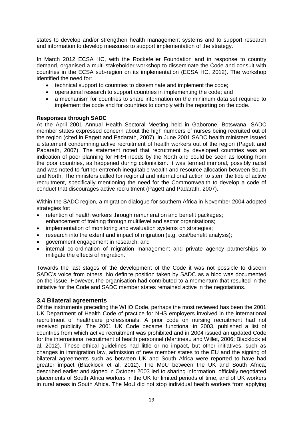states to develop and/or strengthen health management systems and to support research and information to develop measures to support implementation of the strategy.

In March 2012 ECSA HC, with the Rockefeller Foundation and in response to country demand, organised a multi-stakeholder workshop to disseminate the Code and consult with countries in the ECSA sub-region on its implementation (ECSA HC, 2012). The workshop identified the need for:

- technical support to countries to disseminate and implement the code;
- operational research to support countries in implementing the code; and
- a mechanism for countries to share information on the minimum data set required to implement the code and for countries to comply with the reporting on the code.

#### **Responses through SADC**

At the April 2001 Annual Health Sectoral Meeting held in Gaborone, Botswana, SADC member states expressed concern about the high numbers of nurses being recruited out of the region (cited in Pagett and Padarath, 2007). In June 2001 SADC health ministers issued a statement condemning active recruitment of health workers out of the region (Pagett and Padarath, 2007). The statement noted that recruitment by developed countries was an indication of poor planning for HRH needs by the North and could be seen as looting from the poor countries, as happened during colonialism. It was termed immoral, possibly racist and was noted to further entrench inequitable wealth and resource allocation between South and North. The ministers called for regional and international action to stem the tide of active recruitment, specifically mentioning the need for the Commonwealth to develop a code of conduct that discourages active recruitment (Pagett and Padarath, 2007).

Within the SADC region, a migration dialogue for southern Africa in November 2004 adopted strategies for:

- retention of health workers through remuneration and benefit packages; enhancement of training through multilevel and sector organisations;
- implementation of monitoring and evaluation systems on strategies;
- research into the extent and impact of migration (e.g. cost/benefit analysis);
- government engagement in research; and
- internal co-ordination of migration management and private agency partnerships to mitigate the effects of migration.

Towards the last stages of the development of the Code it was not possible to discern SADC's voice from others. No definite position taken by SADC as a bloc was documented on the issue. However, the organisation had contributed to a momentum that resulted in the initiative for the Code and SADC member states remained active in the negotiations.

#### <span id="page-19-0"></span>**3.4 Bilateral agreements**

Of the instruments preceding the WHO Code, perhaps the most reviewed has been the 2001 UK Department of Health Code of practice for NHS employers involved in the international recruitment of healthcare professionals. A prior code on nursing recruitment had not received publicity. The 2001 UK Code became functional in 2003, published a list of countries from which active recruitment was prohibited and in 2004 issued an updated Code for the international recruitment of health personnel (Martineau and Willet, 2006; Blacklock et al, 2012). These ethical guidelines had little or no impact, but other initiatives, such as changes in immigration law, admission of new member states to the EU and the signing of bilateral agreements such as between UK and South Africa were reported to have had greater impact (Blacklock et al, 2012). The MoU between the UK and South Africa, described earlier and signed in October 2003 led to sharing information, officially negotiated placements of South Africa workers in the UK for limited periods of time, and of UK workers in rural areas in South Africa. The MoU did not stop individual health workers from applying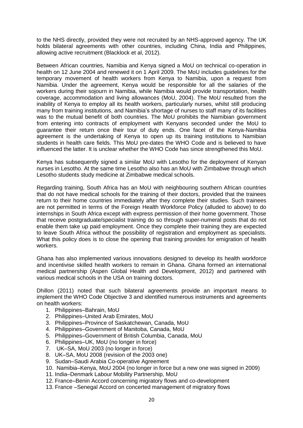to the NHS directly, provided they were not recruited by an NHS-approved agency. The UK holds bilateral agreements with other countries, including China, India and Philippines, allowing active recruitment (Blacklock et al, 2012).

Between African countries, Namibia and Kenya signed a MoU on technical co-operation in health on 12 June 2004 and renewed it on 1 April 2009. The MoU includes guidelines for the temporary movement of health workers from Kenya to Namibia, upon a request from Namibia. Under the agreement, Kenya would be responsible for all the salaries of the workers during their sojourn in Namibia, while Namibia would provide transportation, health coverage, accommodation and living allowances (MoU, 2004). The MoU resulted from the inability of Kenya to employ all its health workers, particularly nurses, whilst still producing many from training institutions, and Namibia's shortage of nurses to staff many of its facilities was to the mutual benefit of both countries. The MoU prohibits the Namibian government from entering into contracts of employment with Kenyans seconded under the MoU to guarantee their return once their tour of duty ends. One facet of the Kenya-Namibia agreement is the undertaking of Kenya to open up its training institutions to Namibian students in health care fields. This MoU pre-dates the WHO Code and is believed to have influenced the latter. It is unclear whether the WHO Code has since strengthened this MoU.

Kenya has subsequently signed a similar MoU with Lesotho for the deployment of Kenyan nurses in Lesotho. At the same time Lesotho also has an MoU with Zimbabwe through which Lesotho students study medicine at Zimbabwe medical schools.

Regarding training, South Africa has an MoU with neighbouring southern African countries that do not have medical schools for the training of their doctors, provided that the trainees return to their home countries immediately after they complete their studies. Such trainees are not permitted in terms of the Foreign Health Workforce Policy (alluded to above) to do internships in South Africa except with express permission of their home government. Those that receive postgraduate/specialist training do so through super-numeral posts that do not enable them take up paid employment. Once they complete their training they are expected to leave South Africa without the possibility of registration and employment as specialists. What this policy does is to close the opening that training provides for emigration of health workers.

Ghana has also implemented various innovations designed to develop its health workforce and incentivise skilled health workers to remain in Ghana. Ghana formed an international medical partnership (Aspen Global Health and Development, 2012) and partnered with various medical schools in the USA on training doctors.

Dhillon (2011) noted that such bilateral agreements provide an important means to implement the WHO Code Objective 3 and identified numerous instruments and agreements on health workers:

- 1. Philippines–Bahrain, MoU
- 2. Philippines–United Arab Emirates, MoU
- 3. Philippines–Province of Saskatchewan, Canada, MoU
- 4. Philippines–Government of Manitoba, Canada, MoU
- 5. Philippines–Government of British Columbia, Canada, MoU
- 6. Philippines–UK, MoU (no longer in force)
- 7. UK–SA, MoU 2003 (no longer in force)
- 8. UK–SA, MoU 2008 (revision of the 2003 one)
- 9. Sudan–Saudi Arabia Co-operative Agreement
- 10. Namibia–Kenya, MoU 2004 (no longer in force but a new one was signed in 2009)
- 11. India–Denmark Labour Mobility Partnership, MoU
- 12. France–Benin Accord concerning migratory flows and co-development
- 13. France –Senegal Accord on concerted management of migratory flows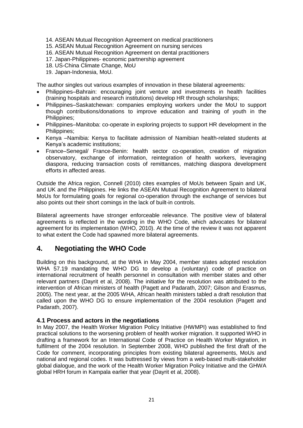- 14. ASEAN Mutual Recognition Agreement on medical practitioners
- 15. ASEAN Mutual Recognition Agreement on nursing services
- 16. ASEAN Mutual Recognition Agreement on dental practitioners
- 17. Japan-Philippines- economic partnership agreement
- 18. US-China Climate Change, MoU
- 19. Japan-Indonesia, MoU.

The author singles out various examples of innovation in these bilateral agreements:

- Philippines–Bahrain: encouraging joint venture and investments in health facilities (training hospitals and research institutions) develop HR through scholarships;
- Philippines–Saskatchewan: companies employing workers under the MoU to support though contributions/donations to improve education and training of youth in the Philippines;
- Philippines–Manitoba: co-operate in exploring projects to support HR development in the Philippines;
- Kenya –Namibia: Kenya to facilitate admission of Namibian health-related students at Kenya's academic institutions;
- France–Senegal/ France-Benin: health sector co-operation, creation of migration observatory, exchange of information, reintegration of health workers, leveraging diaspora, reducing transaction costs of remittances, matching diaspora development efforts in affected areas.

Outside the Africa region, Connell (2010) cites examples of MoUs between Spain and UK, and UK and the Philippines. He links the ASEAN Mutual Recognition Agreement to bilateral MoUs for formulating goals for regional co-operation through the exchange of services but also points out their short comings in the lack of built-in controls.

Bilateral agreements have stronger enforceable relevance. The positive view of bilateral agreements is reflected in the wording in the WHO Code, which advocates for bilateral agreement for its implementation (WHO, 2010). At the time of the review it was not apparent to what extent the Code had spawned more bilateral agreements.

#### <span id="page-21-0"></span>**4. Negotiating the WHO Code**

Building on this background, at the WHA in May 2004, member states adopted resolution WHA 57.19 mandating the WHO DG to develop a (voluntary) code of practice on international recruitment of health personnel in consultation with member states and other relevant partners (Dayrit et al, 2008). The initiative for the resolution was attributed to the intervention of African ministers of health (Pagett and Padarath, 2007; Gilson and Erasmus, 2005). The next year, at the 2005 WHA, African health ministers tabled a draft resolution that called upon the WHO DG to ensure implementation of the 2004 resolution (Pagett and Padarath, 2007).

#### <span id="page-21-1"></span>**4.1 Process and actors in the negotiations**

In May 2007, the Health Worker Migration Policy Initiative (HWMPI) was established to find practical solutions to the worsening problem of health worker migration. It supported WHO in drafting a framework for an International Code of Practice on Health Worker Migration, in fulfilment of the 2004 resolution. In September 2008, WHO published the first draft of the Code for comment, incorporating principles from existing bilateral agreements, MoUs and national and regional codes. It was buttressed by views from a web-based multi-stakeholder global dialogue, and the work of the Health Worker Migration Policy Initiative and the GHWA global HRH forum in Kampala earlier that year (Dayrit et al, 2008).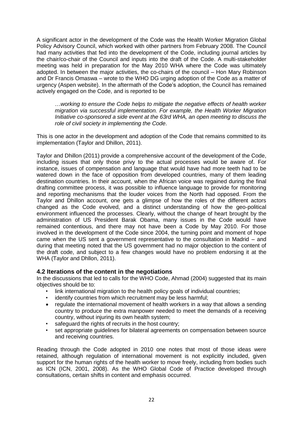A significant actor in the development of the Code was the Health Worker Migration Global Policy Advisory Council, which worked with other partners from February 2008. The Council had many activities that fed into the development of the Code, including journal articles by the chair/co-chair of the Council and inputs into the draft of the Code. A multi-stakeholder meeting was held in preparation for the May 2010 WHA where the Code was ultimately adopted. In between the major activities, the co-chairs of the council – Hon Mary Robinson and Dr Francis Omaswa – wrote to the WHO DG urging adoption of the Code as a matter of urgency (Aspen website). In the aftermath of the Code's adoption, the Council has remained actively engaged on the Code, and is reported to be

…*working to ensure the Code helps to mitigate the negative effects of health worker migration via successful implementation. For example, the Health Worker Migration Initiative co-sponsored a side event at the 63rd WHA, an open meeting to discuss the role of civil society in implementing the Code*.

This is one actor in the development and adoption of the Code that remains committed to its implementation (Taylor and Dhillon, 2011).

Taylor and Dhillon (2011) provide a comprehensive account of the development of the Code, including issues that only those privy to the actual processes would be aware of. For instance, issues of compensation and language that would have had more teeth had to be watered down in the face of opposition from developed countries, many of them leading destination countries. In their account, when the African voice was regained during the final drafting committee process, it was possible to influence language to provide for monitoring and reporting mechanisms that the louder voices from the North had opposed. From the Taylor and Dhillon account, one gets a glimpse of how the roles of the different actors changed as the Code evolved, and a distinct understanding of how the geo-political environment influenced the processes. Clearly, without the change of heart brought by the administration of US President Barak Obama, many issues in the Code would have remained contentious, and there may not have been a Code by May 2010. For those involved in the development of the Code since 2004, the turning point and moment of hope came when the US sent a government representative to the consultation in Madrid – and during that meeting noted that the US government had no major objection to the content of the draft code, and subject to a few changes would have no problem endorsing it at the WHA (Taylor and Dhllon, 2011).

#### <span id="page-22-0"></span>**4.2 Iterations of the content in the negotiations**

In the discussions that led to calls for the WHO Code, Ahmad (2004) suggested that its main objectives should be to:

- link international migration to the health policy goals of individual countries;
- identify countries from which recruitment may be less harmful;
- regulate the international movement of health workers in a way that allows a sending country to produce the extra manpower needed to meet the demands of a receiving country, without injuring its own health system;
- safeguard the rights of recruits in the host country;
- set appropriate guidelines for bilateral agreements on compensation between source and receiving countries.

Reading through the Code adopted in 2010 one notes that most of those ideas were retained, although regulation of international movement is not explicitly included, given support for the human rights of the health worker to move freely, including from bodies such as ICN (ICN, 2001, 2008). As the WHO Global Code of Practice developed through consultations, certain shifts in content and emphasis occurred.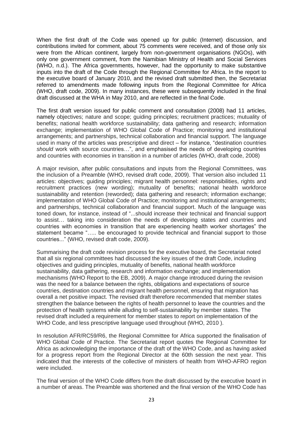When the first draft of the Code was opened up for public (Internet) discussion, and contributions invited for comment, about 75 comments were received, and of those only six were from the African continent, largely from non-government organisations (NGOs), with only one government comment, from the Namibian Ministry of Health and Social Services (WHO, n.d.). The Africa governments, however, had the opportunity to make substantive inputs into the draft of the Code through the Regional Committee for Africa. In the report to the executive board of January 2010, and the revised draft submitted then, the Secretariat referred to amendments made following inputs from the Regional Committee for Africa (WHO, draft code, 2009). In many instances, these were subsequently included in the final draft discussed at the WHA in May 2010, and are reflected in the final Code.

The first draft version issued for public comment and consultation (2008) had 11 articles, namely objectives; nature and scope; guiding principles; recruitment practices; mutuality of benefits; national health workforce sustainability; data gathering and research; information exchange; implementation of WHO Global Code of Practice; monitoring and institutional arrangements; and partnerships, technical collaboration and financial support. The language used in many of the articles was prescriptive and direct – for instance, "destination countries *should* work with source countries…", and emphasised the needs of developing countries and countries with economies in transition in a number of articles (WHO, draft code, 2008)

A major revision, after public consultations and inputs from the Regional Committees, was the inclusion of a Preamble (WHO, revised draft code, 2009). That version also included 11 articles: objectives; guiding principles; migrant health personnel: responsibilities, rights and recruitment practices (new wording); mutuality of benefits; national health workforce sustainability and retention (reworded); data gathering and research; information exchange; implementation of WHO Global Code of Practice; monitoring and institutional arrangements; and partnerships, technical collaboration and financial support. Much of the language was toned down, for instance, instead of "...should increase their technical and financial support to assist… taking into consideration the needs of developing states and countries and countries with economies in transition that are experiencing health worker shortages" the statement became "….. be encouraged to provide technical and financial support to those countries..." (WHO, revised draft code, 2009).

Summarising the draft code revision process for the executive board, the Secretariat noted that all six regional committees had discussed the key issues of the draft Code, including objectives and guiding principles, mutuality of benefits, national health workforce sustainability, data gathering, research and information exchange; and implementation mechanisms (WHO Report to the EB, 2009). A major change introduced during the revision was the need for a balance between the rights, obligations and expectations of source countries, destination countries and migrant health personnel, ensuring that migration has overall a net positive impact. The revised draft therefore recommended that member states strengthen the balance between the rights of health personnel to leave the countries and the protection of health systems while alluding to self-sustainability by member states. The revised draft included a requirement for member states to report on implementation of the WHO Code, and less prescriptive language used throughout (WHO, 2010 ).

In resolution AFR/RC59/R6, the Regional Committee for Africa supported the finalisation of WHO Global Code of Practice. The Secretariat report quotes the Regional Committee for Africa as acknowledging the importance of the draft of the WHO Code, and as having asked for a progress report from the Regional Director at the 60th session the next year. This indicated that the interests of the collective of ministers of health from WHO-AFRO region were included.

The final version of the WHO Code differs from the draft discussed by the executive board in a number of areas. The Preamble was shortened and the final version of the WHO Code has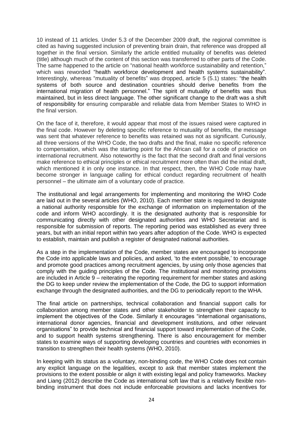10 instead of 11 articles. Under 5.3 of the December 2009 draft, the regional committee is cited as having suggested inclusion of preventing brain drain, that reference was dropped all together in the final version. Similarly the article entitled mutuality of benefits was deleted (title) although much of the content of this section was transferred to other parts of the Code. The same happened to the article on "national health workforce sustainability and retention," which was reworded "health workforce development and health systems sustainability". Interestingly, whereas "mutuality of benefits" was dropped, article 5 (5.1) states: "the health systems of both source and destination countries should derive benefits from the international migration of health personnel." The spirit of mutuality of benefits was thus maintained, but in less direct language. The other significant change to the draft was a shift of responsibility for ensuring comparable and reliable data from Member States to WHO in the final version.

On the face of it, therefore, it would appear that most of the issues raised were captured in the final code. However by deleting specific reference to mutuality of benefits, the message was sent that whatever reference to benefits was retained was not as significant. Curiously, all three versions of the WHO Code, the two drafts and the final, make no specific reference to compensation, which was the starting point for the African call for a code of practice on international recruitment. Also noteworthy is the fact that the second draft and final versions make reference to ethical principles or ethical recruitment more often than did the initial draft, which mentioned it in only one instance. In that respect, then, the WHO Code may have become stronger in language calling for ethical conduct regarding recruitment of health personnel – the ultimate aim of a voluntary code of practice.

The institutional and legal arrangements for implementing and monitoring the WHO Code are laid out in the several articles (WHO, 2010). Each member state is required to designate a national authority responsible for the exchange of information on implementation of the code and inform WHO accordingly. It is the designated authority that is responsible for communicating directly with other designated authorities and WHO Secretariat and is responsible for submission of reports. The reporting period was established as every three years, but with an initial report within two years after adoption of the Code. WHO is expected to establish, maintain and publish a register of designated national authorities.

As a step in the implementation of the Code, member states are encouraged to incorporate the Code into applicable laws and policies, and asked, 'to the extent possible,' to encourage and promote good practices among recruitment agencies, by using only those agencies that comply with the guiding principles of the Code. The institutional and monitoring provisions are included in Article 9 – reiterating the reporting requirement for member states and asking the DG to keep under review the implementation of the Code, the DG to support information exchange through the designated authorities, and the DG to periodically report to the WHA.

The final article on partnerships, technical collaboration and financial support calls for collaboration among member states and other stakeholder to strengthen their capacity to implement the objectives of the Code. Similarly it encourages "international organisations, international donor agencies, financial and development institutions, and other relevant organisations" to provide technical and financial support toward implementation of the Code, and to support health systems strengthening. There is also encouragement for member states to examine ways of supporting developing countries and countries with economies in transition to strengthen their health systems (WHO, 2010).

In keeping with its status as a voluntary, non-binding code, the WHO Code does not contain any explicit language on the legalities, except to ask that member states implement the provisions to the extent possible or align it with existing legal and policy frameworks. Mackey and Liang (2012) describe the Code as international soft law that is a relatively flexible nonbinding instrument that does not include enforceable provisions and lacks incentives for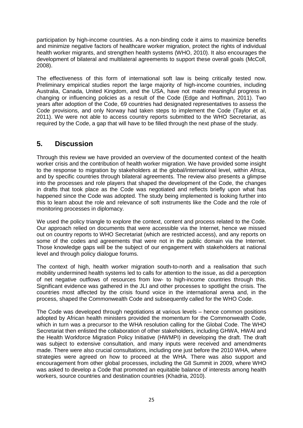participation by high-income countries. As a non-binding code it aims to maximize benefits and minimize negative factors of healthcare worker migration, protect the rights of individual health worker migrants, and strengthen health systems (WHO, 2010). It also encourages the development of bilateral and multilateral agreements to support these overall goals (McColl, 2008).

The effectiveness of this form of international soft law is being critically tested now. Preliminary empirical studies report the large majority of high-income countries, including Australia, Canada, United Kingdom, and the USA, have not made meaningful progress in changing or influencing policies as a result of the Code (Edge and Hoffman, 2011). Two years after adoption of the Code, 69 countries had designated representatives to assess the Code provisions, and only Norway had taken steps to implement the Code (Taylor et al, 2011). We were not able to access country reports submitted to the WHO Secretariat, as required by the Code, a gap that will have to be filled through the next phase of the study.

## <span id="page-25-0"></span>**5. Discussion**

Through this review we have provided an overview of the documented context of the health worker crisis and the contribution of health worker migration. We have provided some insight to the response to migration by stakeholders at the global/international level, within Africa, and by specific countries through bilateral agreements. The review also presents a glimpse into the processes and role players that shaped the development of the Code, the changes in drafts that took place as the Code was negotiated and reflects briefly upon what has happened since the Code was adopted. The study being implemented is looking further into this to learn about the role and relevance of soft instruments like the Code and the role of monitoring processes in diplomacy.

We used the policy triangle to explore the context, content and process related to the Code. Our approach relied on documents that were accessible via the Internet, hence we missed out on country reports to WHO Secretariat (which are restricted access), and any reports on some of the codes and agreements that were not in the public domain via the Internet. Those knowledge gaps will be the subject of our engagement with stakeholders at national level and through policy dialogue forums.

The context of high, health worker migration south-to-north and a realisation that such mobility undermined health systems led to calls for attention to the issue, as did a perception of net negative outflows of resources from low- to high-income countries through this. Significant evidence was gathered in the JLI and other processes to spotlight the crisis. The countries most affected by the crisis found voice in the international arena and, in the process, shaped the Commonwealth Code and subsequently called for the WHO Code.

The Code was developed through negotiations at various levels – hence common positions adopted by African health ministers provided the momentum for the Commonwealth Code, which in turn was a precursor to the WHA resolution calling for the Global Code. The WHO Secretariat then enlisted the collaboration of other stakeholders, including GHWA, HWAI and the Health Workforce Migration Policy Initiative (HWMPI) in developing the draft. The draft was subject to extensive consultation, and many inputs were received and amendments made. There were also crucial consultations, including one just before the 2010 WHA, where strategies were agreed on how to proceed at the WHA. There was also support and encouragement from other global processes, including the G8 Summit in 2009, where WHO was asked to develop a Code that promoted an equitable balance of interests among health workers, source countries and destination countries (Khadria, 2010).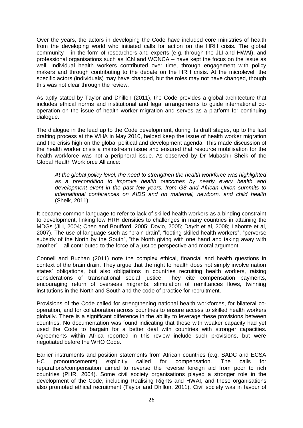Over the years, the actors in developing the Code have included core ministries of health from the developing world who initiated calls for action on the HRH crisis. The global community – in the form of researchers and experts (e.g. through the JLI and HWAI), and professional organisations such as ICN and WONCA – have kept the focus on the issue as well. Individual health workers contributed over time, through engagement with policy makers and through contributing to the debate on the HRH crisis. At the microlevel, the specific actors (individuals) may have changed, but the roles may not have changed, though this was not clear through the review.

As aptly stated by Taylor and Dhillon (2011), the Code provides a global architecture that includes ethical norms and institutional and legal arrangements to guide international cooperation on the issue of health worker migration and serves as a platform for continuing dialogue.

The dialogue in the lead up to the Code development, during its draft stages, up to the last drafting process at the WHA in May 2010, helped keep the issue of health worker migration and the crisis high on the global political and development agenda. This made discussion of the health worker crisis a mainstream issue and ensured that resource mobilisation for the health workforce was not a peripheral issue. As observed by Dr Mubashir Sheik of the Global Health Workforce Alliance:

*At the global policy level, the need to strengthen the health workforce was highlighted as a precondition to improve health outcomes by nearly every health and development event in the past few years, from G8 and African Union summits to international conferences on AIDS and on maternal, newborn, and child health* (Sheik, 2011).

It became common language to refer to lack of skilled health workers as a binding constraint to development, linking low HRH densities to challenges in many countries in attaining the MDGs (JLI, 2004; Chen and Boufford, 2005; Dovlo, 2005; Dayrit et al, 2008; Labonte et al, 2007). The use of language such as "brain drain", "looting skilled health workers", "perverse subsidy of the North by the South", "the North giving with one hand and taking away with another" – all contributed to the force of a justice perspective and moral argument.

Connell and Buchan (2011) note the complex ethical, financial and health questions in context of the brain drain. They argue that the right to health does not simply involve nation states' obligations, but also obligations in countries recruiting health workers, raising considerations of transnational social justice. They cite compensation payments, encouraging return of overseas migrants, stimulation of remittances flows, twinning institutions in the North and South and the code of practice for recruitment.

Provisions of the Code called for strengthening national health workforces, for bilateral cooperation, and for collaboration across countries to ensure access to skilled health workers globally. There is a significant difference in the ability to leverage these provisions between countries. No documentation was found indicating that those with weaker capacity had yet used the Code to bargain for a better deal with countries with stronger capacities. Agreements within Africa reported in this review include such provisions, but were negotiated before the WHO Code.

Earlier instruments and position statements from African countries (e.g. SADC and ECSA HC pronouncements) explicitly called for compensation. The calls for reparations/compensation aimed to reverse the reverse foreign aid from poor to rich countries (PHR, 2004). Some civil society organisations played a stronger role in the development of the Code, including Realising Rights and HWAI, and these organisations also promoted ethical recruitment (Taylor and Dhillon, 2011). Civil society was in favour of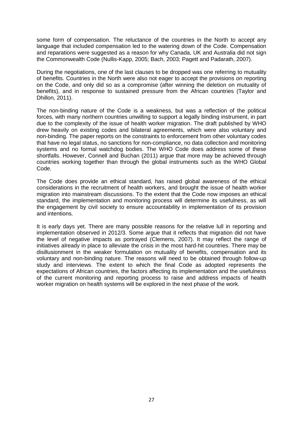some form of compensation. The reluctance of the countries in the North to accept any language that included compensation led to the watering down of the Code. Compensation and reparations were suggested as a reason for why Canada, UK and Australia did not sign the Commonwealth Code (Nullis-Kapp, 2005; Bach, 2003; Pagett and Padarath, 2007).

During the negotiations, one of the last clauses to be dropped was one referring to mutuality of benefits. Countries in the North were also not eager to accept the provisions on reporting on the Code, and only did so as a compromise (after winning the deletion on mutuality of benefits), and in response to sustained pressure from the African countries (Taylor and Dhillon, 2011).

The non-binding nature of the Code is a weakness, but was a reflection of the political forces, with many northern countries unwilling to support a legally binding instrument, in part due to the complexity of the issue of health worker migration. The draft published by WHO drew heavily on existing codes and bilateral agreements, which were also voluntary and non-binding. The paper reports on the constraints to enforcement from other voluntary codes that have no legal status, no sanctions for non-compliance, no data collection and monitoring systems and no formal watchdog bodies. The WHO Code does address some of these shortfalls. However, Connell and Buchan (2011) argue that more may be achieved through countries working together than through the global instruments such as the WHO Global Code.

The Code does provide an ethical standard, has raised global awareness of the ethical considerations in the recruitment of health workers, and brought the issue of health worker migration into mainstream discussions. To the extent that the Code now imposes an ethical standard, the implementation and monitoring process will determine its usefulness, as will the engagement by civil society to ensure accountability in implementation of its provision and intentions.

It is early days yet. There are many possible reasons for the relative lull in reporting and implementation observed in 2012/3. Some argue that it reflects that migration did not have the level of negative impacts as portrayed (Clemens, 2007). It may reflect the range of initiatives already in place to alleviate the crisis in the most hard-hit countries. There may be disillusionment in the weaker formulation on mutuality of benefits, compensation and its voluntary and non-binding nature. The reasons will need to be obtained through follow-up study and interviews. The extent to which the final Code as adopted represents the expectations of African countries, the factors affecting its implementation and the usefulness of the current monitoring and reporting process to raise and address impacts of health worker migration on health systems will be explored in the next phase of the work.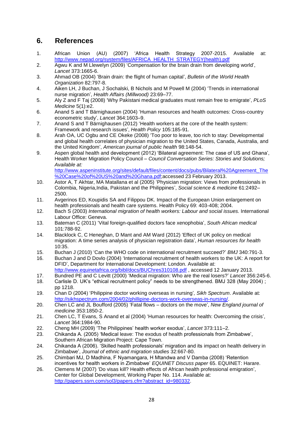## <span id="page-28-0"></span>**6. References**

- 1. African Union (AU) (2007) 'Africa Health Strategy 2007-2015. Available at: [http://www.nepad.org/system/files/AFRICA\\_HEALTH\\_STRATEGY\(health\).pdf](http://www.nepad.org/system/files/AFRICA_HEALTH_STRATEGY(health).pdf)
- 2. Agwu K and M Llewelyn (2009) 'Compensation for the brain drain from developing world', *Lancet* 373:1665-6.
- 3. Ahmad OB (2004) 'Brain drain: the flight of human capital', *Bulletin of the World Health Organization* 82:797-8.
- 4. Aiken LH, J Buchan, J Sochalski, B Nichols and M Powell M (2004) 'Trends in international nurse migration', *Health Affairs (Millwood)* 23:69–77.
- 5. Aly Z and F Taj (2008) 'Why Pakistani medical graduates must remain free to emigrate', *PLoS Medicine* 5(1):e2.
- 6. Anand S and T Bärnighausen (2004) 'Human resources and health outcomes: Cross-country econometric study', *Lancet* 364:1603–9.
- 7. Anand S and T Bärnighausen (2012) 'Health workers at the core of the health system: Framework and research issues', *Health Policy* 105:185-91.
- 8. Arah OA, UC Ogbu and CE Okeke (2008) 'Too poor to leave, too rich to stay: Developmental and global health correlates of physician migration to the United States, Canada, Australia, and the United Kingdom', *American journal of public health* 98:148-54.
- 9. Aspen global health and development (2012) 'Bilateral agreement: The case of US and Ghana', Health Worker Migration Policy Council – *Council Conversation Series: Stories and Solutions; Available at:* [http://www.aspeninstitute.org/sites/default/files/content/docs/pubs/Bilateral%20Agreement\\_The](http://www.aspeninstitute.org/sites/default/files/content/docs/pubs/Bilateral%20Agreement_The%20Case%20of%20US%20and%20Ghana.pdf)

[%20Case%20of%20US%20and%20Ghana.pdf;](http://www.aspeninstitute.org/sites/default/files/content/docs/pubs/Bilateral%20Agreement_The%20Case%20of%20US%20and%20Ghana.pdf)accessed 23 February 2013.

- 10. Astor A, T Akhtar, MA Matallana et al (2005) 'Physician migration: Views from professionals in Colombia, Nigeria,India, Pakistan and the Philippines', *Social science & medicine* 61:2492– 2500.
- 11. Avgerinos ED, Koupidis SA and Filippou DK. Impact of the European Union enlargement on health professionals and health care systems. Health Policy 69: 403-408; 2004.
- 12. Bach S (2003) *International migration of health workers: Labour and social issues.* International Labour Office: Geneva.
- 13. Bateman C (2011) 'Vital foreign-qualified doctors face xenophobia', *South African medical*  101:788-92.
- 14. Blacklock C, C Heneghan, D Mant and AM Ward (2012) 'Effect of UK policy on medical migration: A time series analysis of physician registration data', *Human resources for health* 10:35.
- 15. Buchan J (2010) 'Can the WHO code on international recruitment succeed?' *BMJ* 340:791-3.
- 16. Buchan J and D Dovlo (2004) 'International recruitment of health workers to the UK: A report for DFID', Department for International Development: London. Available at:
- <http://www.equinetafrica.org/bibl/docs/BUChres310108.pdf> , accessed 12 January 2013. 17. Bundred PE and C Levitt (2000) 'Medical migration: Who are the real losers?' *Lancet* 356:245-6.
- 18. Carlisle D. UK's "ethical recruitment policy" needs to be strengthened. BMJ 328 (May 2004) ;
- pp 1218.
- 19. Chan D (2004) 'Philippine doctor working overseas in nursing'*, Sikh Spectrum*. Available at: [http://sikhspectrum.com/2004/02/phillipine-doctors-work-overseas-in-nursing/.](http://sikhspectrum.com/2004/02/phillipine-doctors-work-overseas-in-nursing/)
- 20. Chen LC and JL Boufford (2005) 'Fatal flows doctors on the move', *New England journal of medicine* 353:1850-2.
- 21. Chen LC, T Evans, S Anand et al (2004) 'Human resources for health: Overcoming the crisis', *Lancet* 364:1984-90.
- 22. Cheng MH (2009) 'The Philippines' health worker exodus', *Lancet* 373:111–2.
- 23. Chikanda A. (2005) 'Medical leave: The exodus of health professionals from Zimbabwe', Southern African Migration Project: Cape Town.
- 24. Chikanda A (2006). 'Skilled health professionals' migration and its impact on health delivery in Zimbabwe', *Journal of ethnic and migration studies* 32:667-80.
- 25. Chimbari MJ, D Madhina, F Nyamangara, H Mtandwa and V Damba (2008) 'Retention incentives for health workers in Zimbabwe' *EQUINET Discuss paper* 65. EQUINET: Harare.
- 26. Clemens M (2007) 'Do visas kill? Health effects of African health professional emigration', Center for Global Development, Working Paper No. 114. Available at: [http://papers.ssrn.com/sol3/papers.cfm?abstract\\_id=980332.](http://papers.ssrn.com/sol3/papers.cfm?abstract_id=980332)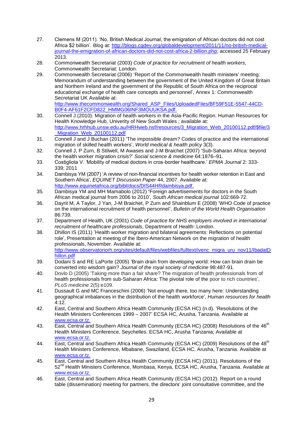- 27. Clemens M (2011). 'No, British Medical Journal, the emigration of African doctors did not cost Africa \$2 billion'. Blog at: [http://blogs.cgdev.org/globaldevelopment/2011/11/no-british-medical](http://blogs.cgdev.org/globaldevelopment/2011/11/no-british-medical-journal-the-emigration-of-african-doctors-did-not-cost-africa-2-billion.php)[journal-the-emigration-of-african-doctors-did-not-cost-africa-2-billion.php;](http://blogs.cgdev.org/globaldevelopment/2011/11/no-british-medical-journal-the-emigration-of-african-doctors-did-not-cost-africa-2-billion.php) accessed 25 February 2013.
- 28. Commonwealth Secretariat (2003) *Code of practice for recruitment of health workers,* Commonwealth Secretariat: London.
- 29. Commonwealth Secretariat (2006) 'Report of the Commonwealth health ministers' meeting: Memorandum of understanding between the government of the United Kingdom of Great Britain and Northern Ireland and the government of the Republic of South Africa on the reciprocal educational exchange of health care concepts and personnel', Annex 1: Commonwealth Secretariat UK Available at:

[http://www.thecommonwealth.org/Shared\\_ASP\\_Files/UploadedFiles/BF59F51E-5547-44CD-](http://www.thecommonwealth.org/Shared_ASP_Files/UploadedFiles/BF59F51E-5547-44CD-B0F4-AF61F2CFD822_HMMG06INF3MOUUKSA.pdf)[B0F4-AF61F2CFD822\\_HMMG06INF3MOUUKSA.pdf.](http://www.thecommonwealth.org/Shared_ASP_Files/UploadedFiles/BF59F51E-5547-44CD-B0F4-AF61F2CFD822_HMMG06INF3MOUUKSA.pdf)

- 30. Connell J (2010). Migration of health workers in the Asia-Pacific Region. Human Resources for Health Knowledge Hub, Univerity of New South Wales ; available at: [http://www.hrhhub.unsw.edu.au/HRHweb.nsf/resources/3\\_Migration\\_Web\\_20100112.pdf/\\$file/3](http://www.hrhhub.unsw.edu.au/HRHweb.nsf/resources/3_Migration_Web_20100112.pdf/$file/3_Migration_Web_20100112.pdf) Migration Web 20100112.pdf
- 31. Connell J and J Buchan (2011) 'The impossible dream? Codes of practice and the international migration of skilled health workers', *World medical & health policy* 3(3).
- 32. Connell J, P Zurn, B Stilwell, M Awases and J-M Braichet (2007) 'Sub-Saharan Africa: beyond the health worker migration crisis?' *Social science & medicine* 64:1876–91.
- 33. Costigliola V. 'Mobility of medical doctors in cros-border healthcare.' *EPMA Journal* 2: 333- 339; 2011
- 34. Dambisya YM (2007) 'A review of non-financial incentives for health worker retention in East and Southern Africa', *EQUINET Discussion Paper* 44, 2007. Available at: [http://www.equinetafrica.org/bibl/docs/DIS44HRdambisya.pdf.](http://www.equinetafrica.org/bibl/docs/DIS44HRdambisya.pdf)
- 35. Dambisya YM and MH Mamabolo (2012) **'**Foreign advertisements for doctors in the South African medical journal from 2006 to 2010', *South African medical journal* 102:669-72.
- 36. Dayrit M, A Taylor, J Yan, J-M Braichet, P Zurn and Shainblum E (2008) 'WHO Code of practice on the international recruitment of health personnel', *Bulletin of the World Health Organisation* 86:739.
- 37. Department of Health, UK (2001) *Code of practice for NHS employers involved in international recruitment of healthcare professionals*, Department of Health: London.
- 38. Dhillon IS (2011) 'Health worker migration and bilateral agreements: Reflections on potential role', Presentation at meeting of the Ibero-American Network on the migration of health professionals, November. Available at: [http://www.observatoriorh.org/sites/default/files/webfiles/fulltext/ivenc\\_migra\\_uru\\_nov11/IbadatD](http://www.observatoriorh.org/sites/default/files/webfiles/fulltext/ivenc_migra_uru_nov11/IbadatDhillon.pdf) [hillon.pdf](http://www.observatoriorh.org/sites/default/files/webfiles/fulltext/ivenc_migra_uru_nov11/IbadatDhillon.pdf)
- 39. Dodani S and RE LaPorte (2005) 'Brain drain from developing world: How can brain drain be converted into wisdom gain? *Journal of the royal society of medicine* 98:487-91.
- 40. Dovlo D (2005) 'Taking more than a fair share? The migration of health professionals from of health professionals from sub-Saharan Africa: The pivotal role of the poor to rich countries', *PLoS medicine* 2(5):e109.
- 41. Dussault G and MC Franceschini (2006) 'Not enough there, too many here: Understanding geographical imbalances in the distribution of the health workforce', *Human resources for health* 4:12.
- 42. East, Central and Southern Africa Health Community (ECSA HC) (n.d). 'Resolutions of the Health Ministers Conferences 1999 – 2007' ECSA HC, Arusha, Tanzania. Available at [www.ecsa.or.tz.](http://www.ecsa.or.tz/)
- 43. East, Central and Southern Africa Health Community (ECSA HC) (2008) Resolutions of the 46<sup>th</sup> Health Ministers Conference, Seychelles. ECSA HC, Arusha Tanzania; Available at [www.ecsa.or.tz.](http://www.ecsa.or.tz/)
- 44. East, Central and Southern Africa Health Community (ECSA HC) (2009) Resolutions of the 48<sup>th</sup> Health Ministers Conference, Mbabane, Swaziland, ECSA HC, Arusha, Tanzania. Available at [www.ecsa.or.tz.](http://www.ecsa.or.tz/)
- 45. East, Central and Southern Africa Health Community (ECSA HC) (2011). Resolutions of the 52<sup>nd</sup> Health Ministers Conference, Mombasa, Kenya, ECSA HC, Arusha, Tanzania, Available at [www.ecsa.or.tz.](http://www.ecsa.or.tz/)
- 46. East, Central and Southern Africa Health Community (ECSA HC) (2012). Report on a round table (dissemination*)* meeting for partners, the directors' joint consultative committee, and the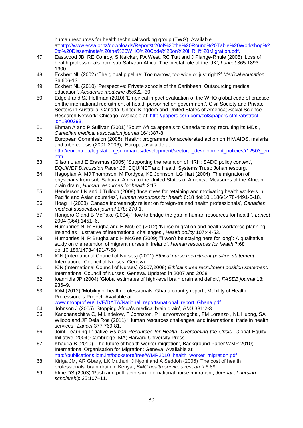human resources for health technical working group (TWG). Available at[:http://www.ecsa.or.tz/downloads/Report%20of%20the%20Round%20Table%20Workshop%2](http://www.ecsa.or.tz/downloads/Report%20of%20the%20Round%20Table%20Workshop%20to%20Disseminate%20the%20WHO%20Code%20on%20HRH%20Migration.pdf) [0to%20Disseminate%20the%20WHO%20Code%20on%20HRH%20Migration.pdf.](http://www.ecsa.or.tz/downloads/Report%20of%20the%20Round%20Table%20Workshop%20to%20Disseminate%20the%20WHO%20Code%20on%20HRH%20Migration.pdf)

- 47. Eastwood JB, RE Conroy, S Naicker, PA West, RC Tutt and J Plange-Rhule (2005) 'Loss of health professionals from sub-Saharan Africa: The pivotal role of the UK', *Lancet* 365:1893- 1900.
- 48. Eckhert NL (2002) 'The global pipeline: Too narrow, too wide or just right?' *Medical education* 36:606-13.
- 49. Eckhert NL (2010) 'Perspective: Private schools of the Caribbean: Outsourcing medical education', *Academic medicine* 85:622–30.
- 50. Edge J and SJ Hoffman (2010) 'Empirical impact evaluation of the WHO global code of practice on the international recruitment of health personnel on government', Civil Society and Private Sectors in Australia, Canada, United Kingdom and United States of America; Social Science Research Network: Chicago. Available at: [http://papers.ssrn.com/sol3/papers.cfm?abstract](http://papers.ssrn.com/sol3/papers.cfm?abstract-id=1900293)[id=1900293.](http://papers.ssrn.com/sol3/papers.cfm?abstract-id=1900293)
- 51. Ehman A and P Sullivan (2001) 'South Africa appeals to Canada to stop recruiting its MDs', *Canadian medical association journal* 164:387-8.
- 52. European Commission (2005) 'Health: programme for accelerated action on HIV/AIDS, malaria and tuberculosis (2001-2006); Europa, available at: [http://europa.eu/legislation\\_summaries/development/sectoral\\_development\\_policies/r12503\\_en.](http://europa.eu/legislation_summaries/development/sectoral_development_policies/r12503_en.htm) [htm](http://europa.eu/legislation_summaries/development/sectoral_development_policies/r12503_en.htm)
- 53. Gilson L and E Erasmus (2005) 'Supporting the retention of HRH: SADC policy context', *EQUINET Discussion Paper 26*. EQUINET and Health Systems Trust: Johannesburg.
- 54. Hagopian A, MJ Thompson, M Fordyce, KE Johnson, LG Hart (2004) 'The migration of physicians from sub-Saharan Africa to the United States of America: Measures of the African brain drain', *Human resources for health* 2:17.
- 55. Henderson LN and J Tulloch (2008) 'Incentives for retaining and motivating health workers in Pacific and Asian countries', *Human resources for health* 6**:**18 doi:10.1186/1478-4491-6-18.
- 56. Hoag H (2008) 'Canada increasingly reliant on foreign-trained health professionals', *Canadian medical association journal* 178: 270-1.
- 57. Hongoro C and B McPake (2004) 'How to bridge the gap in human resources for health', *Lancet*  2004 (364):1451–6.
- 58. Humphries N, R Brugha and H McGee (2012) 'Nurse migration and health workforce planning: Ireland as illustrative of international challenges', *Health policy* 107:44-53.
- 59. Humphries N, R Brugha and H McGee (2009) '"I won't be staying here for long": A qualitative study on the retention of migrant nurses in Ireland', *Human resources for health* 7:68 doi:10.186/1478-4491-7-68.
- 60. ICN (International Council of Nurses) (2001) *Ethical nurse recruitment position statement.* International Council of Nurses: Geneva.
- 61. ICN (International Council of Nurses) (2007,2008) *Ethical nurse recruitment position statement.* International Council of Nurses: Geneva. Updated in 2007 and 2008.
- 62. Ioannidis JP (2004) 'Global estimates of high-level brain drain and deficit', *FASEB journal* 18: 936–9.
- 63. IOM (2012) 'Mobility of health professionals: Ghana country report', Mobility of Health Professionals Project. Available at:
- [www.mohprof.eu/LIVE/DATA/National\\_reports/national\\_report\\_Ghana.pdf.](http://www.mohprof.eu/LIVE/DATA/National_reports/national_report_Ghana.pdf)
- 64. Johnson J (2005) 'Stopping Africa's medical brain drain', *BMJ* 331:2-3.
- 65. Kanchanachitra C, M Lindelow, T Johnston, P Hanvoravongchai, FM Lorenzo , NL Huong, SA Wilopo and JF Dela Roa (2011) 'Human resources challenges, and international trade in health services', *Lancet* 377:769-81.
- 66. Joint Learning Initiative *Human Resources for Health: Overcoming the Crisis*. Global Equity Initiative, 2004; Cambridge, MA; Harvard University Press.
- 67. Khadria B (2010) 'The future of health worker migration', Background Paper WMR 2010; International Organisation for Migration: Geneva. Available at: http://publications.jom.int/bookstore/free/WMR2010\_health\_worker\_migration.pdf
- 68. Kiriga JM, AR Gbary, LK Muthuri, J Nyoni and A Seddoh (2006) 'The cost of health professionals' brain drain in Kenya', *BMC health services research* 6:89.
- 69. Kline DS (2003) 'Push and pull factors in international nurse migration', *Journal of nursing scholarship* 35:107–11.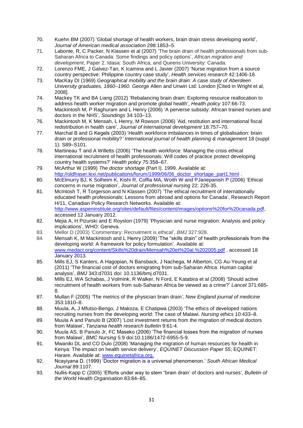- 70. Kuehn BM (2007) 'Global shortage of health workers, brain drain stress developing world', *Journal of American medical association* 298:1853–5.
- 71. Labonte, R, C Packer, N Klassen et al (2007) 'The brain drain of health professionals from sub-Saharan Africa to Canada: Some findings and policy options', *African migration and development*, Paper 2. Idasa: South Africa, and Queens University: Canada.
- 72. Lorenzo FME, J Galvez-Tan, K Icamina and L Javier (2007) 'Nurse migration from a source country perspective: Philippine country case study', *Health services research* 42:1406-18.
- 73. MacKay DI (1969) *Geographical mobility and the brain drain: A case study of Aberdeen University graduates, 1860–1960*. George Allen and Unwin Ltd: London [Cited in Wright et al, 2008].
- 74. Mackey TK and BA Liang (2012) 'Rebalancing brain drain: Exploring resource reallocation to address health worker migration and promote global health', *Health policy* 107:66-73.
- 75. Mackintosh M, P Raghuram and L Henry (2006) 'A perverse subsidy: African trained nurses and doctors in the NHS', *Soundings* 34:103–13.
- 76. Mackintosh M, K Mensah, L Henry, M Rowson (2006) 'Aid, restitution and international fiscal redistribution in health care', *Journal of international development* 18:757–70.
- 77. Marchal B and G Kegels (2003) 'Health workforce imbalances in times of globalisation: brain drain or professional mobility?*' International journal of health planning & management* 18 (suppl 1): S89–S101.
- 78. Martineau T and A Willetts (2006) 'The health workforce: Managing the crisis ethical international recruitment of health professionals: Will codes of practice protect developing country health systems?' *Health policy* 75:358–67.
- 79. McArthur W (1999) *The doctor shortage* (Part I). 1999. Available at: [http://oldfraser.lexi.net/publications/forum/1999/06/06\\_doctor\\_shortage\\_part1.html](http://oldfraser.lexi.net/publications/forum/1999/06/06_doctor_shortage_part1.html)
- 80. [McElmurry](http://www.ncbi.nlm.nih.gov/pubmed?term=McElmurry%20BJ%5BAuthor%5D&cauthor=true&cauthor_uid=16873045) BJ, K [Solheim](http://www.ncbi.nlm.nih.gov/pubmed?term=Solheim%20K%5BAuthor%5D&cauthor=true&cauthor_uid=16873045) K, [Kishi](http://www.ncbi.nlm.nih.gov/pubmed?term=Kishi%20R%5BAuthor%5D&cauthor=true&cauthor_uid=16873045) R, [Coffia](http://www.ncbi.nlm.nih.gov/pubmed?term=Coffia%20MA%5BAuthor%5D&cauthor=true&cauthor_uid=16873045) MA, [Woith](http://www.ncbi.nlm.nih.gov/pubmed?term=Woith%20W%5BAuthor%5D&cauthor=true&cauthor_uid=16873045) W and [PJanepanish](http://www.ncbi.nlm.nih.gov/pubmed?term=Janepanish%20P%5BAuthor%5D&cauthor=true&cauthor_uid=16873045) P (2006) 'Ethical concerns in nurse migration', *Journal of [professional](http://www.ncbi.nlm.nih.gov/pubmed/16873045) nursing* 22: 226-35.
- 81. McIntosh T, R Torgerson and N Klassen (2007) 'The ethical recruitment of internationally educated health professionals: Lessons from abroad and options for Canada', Research Report H/11, Canadian Policy Research Networks. Available at: [http://www.aspeninstitute.org/sites/default/files/content/images/options%20for%20canada.pdf,](http://www.aspeninstitute.org/sites/default/files/content/images/options%20for%20canada.pdf) accessed 12 January 2012.
- 82. Mejia A, H Pizurski and E Royston (1979) 'Physician and nurse migration: Analysis and policy implications', WHO: Geneva.
- 83. Mellor D (2003) 'Commentary: Recruitment is ethical', *BMJ* 327:928.
- 84. Mensah K, M Mackintosh and L Henry (2009) 'The "skills drain" of health professionals from the developing world: A framework for policy formulation'. Available at: [www.medact.org/content/Skills%20drain/Mensah%20et%20al.%202005.pdf](http://www.medact.org/content/Skills%20drain/Mensah%20et%20al.%202005.pdf) , accessed 18 January 2013.
- 85. Mills EJ, S Kanters, A Hagopian, N Bansback, J Nachega, M Alberton, CG Au-Yeung et al (2011) 'The financial cost of doctors emigrating from sub-Saharan Africa: Human capital analysis', *BMJ* 343:d7031 doi: 10.1136/bmj.d7031.
- 86. Mills EJ, WA Schabas, J Volmink, R Walker, N Ford, E Katabira et al (2008) 'Should active recruitment of health workers from sub-Saharan Africa be viewed as a crime?' *Lancet* 371:685- 8.
- 87. Mullan F (2005) 'The metrics of the physician brain drain*', New England journal of medicine* 353:1810–8.
- 88. Muula, A, J Mfutso-Bengo, J Makoza, E Chatipwa (2003) 'The ethics of developed nations recruiting nurses from the developing world: The case of Malawi. *Nursing ethics* 10:433–8.
- 89. Muula A and Panulo B (2007) 'Lost investment returns from the migration of medical doctors from Malawi', *Tanzania health research bulletin* 9:61-4.
- 90. Muula AS, B Panulo Jr, FC Maseko (2006) 'The financial losses from the migration of nurses from Malawi', *BMC Nursing* 5:9 doi:10.1186/1472-6955-5-9.
- 91. Mwaniki DL and CO Dulo (2008) 'Managing the migration of human resources for health in Kenya: The impact on health service delivery', *EQUINET Discussion Paper 55*; EQUINET: Harare. Available at: [www.equinetafrica.org.](http://www.equinetafrica.org/)
- 92. Ncayiyana D. (1999) 'Doctor migration is a universal phenomenon.' *South African Medical Journal* 89:1107.
- 93. Nullis-Kapp C (2005) 'Efforts under way to stem "brain drain' of doctors and nurses', *Bulletin of the World Health Organisation* 83:84–85.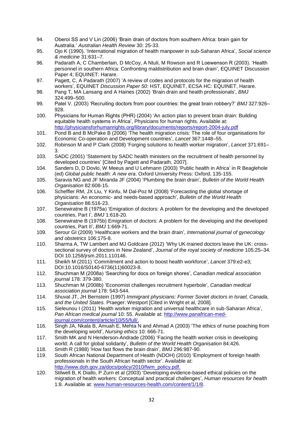- 94. Oberoi SS and V Lin (2006) 'Brain drain of doctors from southern Africa: brain gain for Australia.' *Australian Health Review* 30: 25-33.
- 95. Ojo K (1990). 'International migration of health manpower in sub-Saharan Africa', *Social science & medicine* 31:631–7.
- 96. Padarath A, C Chamberlain, D McCoy, A Ntuli, M Rowson and R Loewenson R (2003). 'Health personnel in southern Africa: Confronting maldistribution and brain drain', EQUINET Discussion Paper 4; EQUINET: Harare.
- 97. Pagett, C, A Padarath (2007) 'A review of codes and protocols for the migration of health workers', EQUINET *Discussion Paper 50*: HST, EQUINET, ECSA HC: EQUINET, Harare.
- 98. Pang T, MA Lansang and A Haines (2002) 'Brain drain and health professionals', *BMJ* 324:499–500.
- 99. Patel V. (2003) 'Recruiting doctors from poor countries: the great brain robbery?' *BMJ* 327:926– 928.
- 100. Physicians for Human Rights (PHR) (2004) 'An action plan to prevent brain drain: Building equitable health systems in Africa', Physicians for human rights. Available at: <http://physiciansforhumanrights.org/library/documents/reports/report-2004-july.pdf>
- 101. Pond B and B McPake B (2006) 'The health migration crisis: The role of four organisations for Economic Co-operation and Development countries', *Lancet* 367:1448–55.
- 102. Robinson M and P Clark (2008) 'Forging solutions to health worker migration', *Lancet* 371:691– 3.
- 103. SADC (2001) 'Statement by SADC health ministers on the recruitment of health personnel by developed countries' [Cited by Pagett and Padarath, 2007].
- 104. Sanders D, D Dovlo, W Meeus and U Lehmann (2003) 'Public health in Africa' in R Beaglehole (ed) *Global public health: A new era*. Oxford University Press: Oxford, 135-155.
- 105. Saravia NG and JF Miranda JF (2004) 'Plumbing the brain drain', *Bulletin of the World Health Organisation* 82:608-15.
- 106. Scheffler RM, JX Liu, Y Kinfu, M Dal-Poz M (2008) 'Forecasting the global shortage of physicians: An economic- and needs-based approach', *Bulletin of the World Health Organisation* 86:516-23.
- 107. Senewiratne B (1975a) 'Emigration of doctors: A problem for the developing and the developed countries, Part I', *BMJ* 1:618-20.
- 108. Senewiratne B (1975b) Emigration of doctors: A problem for the developing and the developed countries, Part II', *BMJ* 1:669-71.
- 109. Serour GI (2009) 'Healthcare workers and the brain drain', *International journal of gynecology and obstetrics* 106:175-8.
- 110. Sharma A, TW Lambert and MJ Goldcare (2012) 'Why UK-trained doctors leave the UK: crosssectional survey of doctors in New Zealand', *Journal of the royal society of medicine* 105:25–34. DOI 10.1258/jrsm.2011.110146.
- 111. Sheikh M (2011) 'Commitment and action to boost health workforce', *Lancet* 379:e2-e3; DOI:10.1016/S0140-6736(11)60023-8.
- 112. Shuchman M (2008a) 'Searching for docs on foreign shores', *Canadian medical association journal* 178: 379-380.
- 113. Shuchman M (2008b) 'Economist challenges recruitment hyperbole', *Canadian medical association journal* 178: 543-544.
- 114. Shuval JT, JH Bernstein (1997) *Immigrant physicians: Former Soviet doctors in Israel, Canada, and the United States.* Praeger: Westport [Cited in Wright et al, 2008].
- 115. Sieleunou I (2011) 'Health worker migration and universal healthcare in sub-Saharan Africa', *Pan African medical journal* 10: 55. Available at: [http://www.panafrican-med](http://www.panafrican-med-journal.com/content/article/10/55/full/)[journal.com/content/article/10/55/full/.](http://www.panafrican-med-journal.com/content/article/10/55/full/)
- 116. [Singh](http://www.ncbi.nlm.nih.gov/pubmed?term=Singh%20JA%5BAuthor%5D&cauthor=true&cauthor_uid=14650484) JA, [Nkala](http://www.ncbi.nlm.nih.gov/pubmed?term=Nkala%20B%5BAuthor%5D&cauthor=true&cauthor_uid=14650484) B, [Amuah](http://www.ncbi.nlm.nih.gov/pubmed?term=Amuah%20E%5BAuthor%5D&cauthor=true&cauthor_uid=14650484) E, [Mehta](http://www.ncbi.nlm.nih.gov/pubmed?term=Mehta%20N%5BAuthor%5D&cauthor=true&cauthor_uid=14650484) N and [Ahmad](http://www.ncbi.nlm.nih.gov/pubmed?term=Ahmad%20A%5BAuthor%5D&cauthor=true&cauthor_uid=14650484) A (2003) 'The ethics of nurse poaching from the developing world', *[Nursing](http://www.ncbi.nlm.nih.gov/pubmed/14650484) ethics* 10: 666-71.
- 117. Smith MK and N Henderson-Andrade (2006) 'Facing the health worker crisis in developing world: A call for global solidarity', *Bulletin of the World Health Organisation* 84:426.
- 118. Smith R (1988) 'How fast flows the brain drain', *BMJ* 296:987-90.
- 119. South African National Department of Health (NDOH) (2010) 'Employment of foreign health professionals in the South African health sector'. Available at: [http://www.doh.gov.za/docs/policy/2010/fwm\\_policy.pdf.](http://www.doh.gov.za/docs/policy/2010/fwm_policy.pdf)
- 120. Stilwell B, K Diallo, P Zurn et al (2003) 'Developing evidence-based ethical policies on the migration of health workers: Conceptual and practical challenges', *Human resources for health* 1:8. Available at: [www.human-resources-health.com/content/1/1/8.](http://www.human-resources-health.com/content/1/1/8)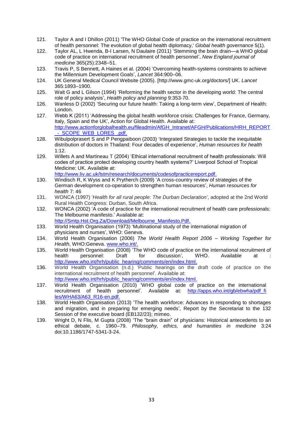- 121. Taylor A and I Dhillon (2011) 'The WHO Global Code of practice on the international recruitment of health personnel: The evolution of global health diplomacy,' *Global health governance* 5(1).
- 122. Taylor AL, L Hwenda, B-I Larsen, N Daulaire (2011) 'Stemming the brain drain—a WHO global code of practice on international recruitment of health personnel', *New England journal of medicine* 365(25):2348–51.
- 123. Travis P, S Bennett, A Haines et al. (2004) 'Overcoming health-systems constraints to achieve the Millennium Development Goals', *Lancet* 364:900–06.
- 124. UK General Medical Council Website (2005). [http://www.gmc-uk.org/doctors/] UK. *Lancet* 365:1893–1900.
- 125. Walt G and L Gilson (1994) 'Reforming the health sector in the developing world: The central role of policy analysis', *Health policy and planning* 9:353-70.
- 126. Wanless D (2002) 'Securing our future health: Taking a long-term view', Department of Health: London.
- 127. Webb K (2011) 'Addressing the global health workforce crisis: Challenges for France, Germany, Italy, Spain and the UK', Action for Global Health. Available at: [http://www.actionforglobalhealth.eu/fileadmin/AfGH\\_Intranet/AFGH/Publications/HRH\\_REPORT](http://www.actionforglobalhealth.eu/fileadmin/AfGH_Intranet/AFGH/Publications/HRH_REPORT_-_SCOPE_WEB_LORES_.pdf) - SCOPE WEB LORES .pdf.
- 128. Wibulpolprasert S and P Pengpaiboon (2003) 'Integrated Strategies to tackle the inequitable distribution of doctors in Thailand: Four decades of experience', *Human resources for health*  1:12.
- 129. Willets A and Martineau T (2004) 'Ethical international recruitment of health professionals: Will codes of practice protect developing country health systems?' Liverpool School of Tropical Medicine: UK. Available at: [http://www.liv.ac.uk/lstm/research/documents/codesofpracticereport.pdf.](http://www.liv.ac.uk/lstm/research/documents/codesofpracticereport.pdf)
- 130. Windisch R, K Wyss and K Prytherch (2009) 'A cross-country review of strategies of the German development co-operation to strengthen human resources', *Human resources for health* 7: 46
- 131. WONCA (1997) '*Health for all rural people: The Durban Declaration'*, adopted at the 2nd World Rural Health Congress: Durban, South Africa.
- 132. WONCA (2002) 'A code of practice for the international recruitment of health care professionals: The Melbourne manifesto.' Available at: [http://Smtp.Hst.Org.Za/Download/Melbourne\\_Manifesto.Pdf.](http://smtp.hst.org.za/Download/Melbourne_Manifesto.Pdf)
- 133. World Health Organisation (1973) 'Multinational study of the international migration of physicians and nurses', WHO: Geneva.
- 134. World Health Organisation (2006) *The World Health Report 2006 Working Together for Health*, WHO:Geneva. [www.who.int/.](http://www.who.int/)
- 135. World Health Organisation (2008) 'The WHO code of practice on the international recruitment of health personnel: Draft for discussion', WHO. Available at [http://www.who.int/hrh/public\\_hearing/comments/en/index.html.](http://www.who.int/hrh/public_hearing/comments/en/index.html)
- 136. World Health Organisation (n.d.) 'Public hearings on the draft code of practice on the international recruitment of health personnel'. Available at: [http://www.who.int/hrh/public\\_hearing/comments/en/index.html.](http://www.who.int/hrh/public_hearing/comments/en/index.html)
- 137. World Health Organisation (2010) 'WHO global code of practice on the international recruitment of health personnel'. Available at: [http://apps.who.int/gb/ebwha/pdf\\_fi](http://apps.who.int/gb/ebwha/pdf_fi%20les/WHA63/A63_R16-en.pdf)  [les/WHA63/A63\\_R16-en.pdf.](http://apps.who.int/gb/ebwha/pdf_fi%20les/WHA63/A63_R16-en.pdf)
- 138. World Health Organisation (2013) 'The health workforce: Advances in responding to shortages and migration, and in preparing for emerging needs', Report by the Secretariat to the 132 Session of the executive board (EB132/23); mimeo.
- 139. Wright D, N Flis, M Gupta (2008) 'The "brain drain" of physicians: Historical antecedents to an ethical debate, c. 1960–79. *Philosophy, ethics, and humanities in medicine* 3:24 doi:10.1186/1747-5341-3-24.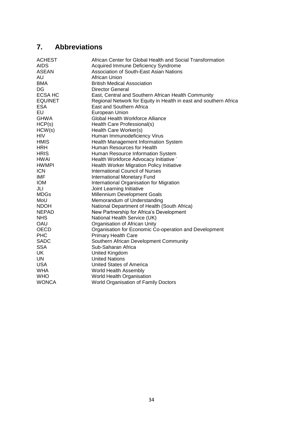## <span id="page-34-0"></span>**7. Abbreviations**

| African Center for Global Health and Social Transformation        |
|-------------------------------------------------------------------|
| Acquired Immune Deficiency Syndrome                               |
| Association of South-East Asian Nations                           |
| African Union                                                     |
| <b>British Medical Association</b>                                |
| <b>Director General</b>                                           |
| East, Central and Southern African Health Community               |
| Regional Network for Equity in Health in east and southern Africa |
| East and Southern Africa                                          |
| European Union                                                    |
| Global Health Workforce Alliance                                  |
| Health Care Professional(s)                                       |
| Health Care Worker(s)                                             |
| Human Immunodeficiency Virus                                      |
| Health Management Information System                              |
| Human Resources for Health                                        |
| Human Resource Information System                                 |
| Health Workforce Advocacy Initiative `                            |
| <b>Health Worker Migration Policy Initiative</b>                  |
| <b>International Council of Nurses</b>                            |
| International Monetary Fund                                       |
| International Organisation for Migration                          |
| Joint Learning Initiative                                         |
| Millennium Development Goals                                      |
| Memorandum of Understanding                                       |
| National Department of Health (South Africa)                      |
| New Partnership for Africa's Development                          |
| National Health Service (UK)                                      |
| Organisation of African Unity                                     |
| Organisation for Economic Co-operation and Development            |
| <b>Primary Health Care</b>                                        |
| Southern African Development Community                            |
| Sub-Saharan Africa                                                |
| United Kingdom                                                    |
| <b>United Nations</b>                                             |
| <b>United States of America</b>                                   |
| World Health Assembly                                             |
| World Health Organisation                                         |
| World Organisation of Family Doctors                              |
|                                                                   |